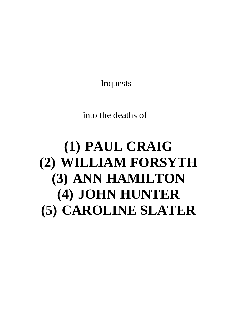Inquests

into the deaths of

# **(1) PAUL CRAIG (2) WILLIAM FORSYTH (3) ANN HAMILTON (4) JOHN HUNTER (5) CAROLINE SLATER**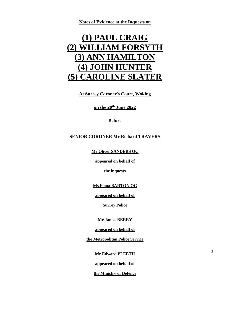**Notes of Evidence at the Inquests on**

## **(1) PAUL CRAIG (2) WILLIAM FORSYTH (3) ANN HAMILTON (4) JOHN HUNTER (5) CAROLINE SLATER**

**At Surrey Coroner's Court, Woking**

**on the 20th June 2022**

#### **Before**

#### **SENIOR CORONER Mr Richard TRAVERS**

**Mr Oliver SANDERS QC**

**appeared on behalf of**

**the inquests**

**Ms Fiona BARTON QC**

**appeared on behalf of** 

**Surrey Police**

**Mr James BERRY**

**appeared on behalf of**

**the Metropolitan Police Service**

**Mr Edward PLEETH**

2

**appeared on behalf of** 

**the Ministry of Defence**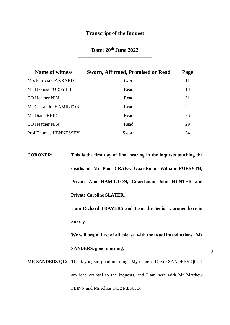### **Transcript of the Inquest**

\_\_\_\_\_\_\_\_\_\_\_\_\_\_\_\_\_\_\_\_\_\_\_\_\_\_\_\_\_\_\_\_

### **Date: 20th June 2022** \_\_\_\_\_\_\_\_\_\_\_\_\_\_\_\_\_\_\_\_\_\_\_\_\_\_\_\_\_\_\_\_

| <b>Name of witness</b>       | <b>Sworn, Affirmed, Promised or Read</b> | Page |
|------------------------------|------------------------------------------|------|
| Mrs Patricia GARRARD         | Sworn                                    | 11   |
| Mr Thomas FORSYTH            | Read                                     | 18   |
| <b>CO</b> Heather NIN        | Read                                     | 21   |
| Ms Cassandra HAMILTON        | Read                                     | 24   |
| Ms Diane REID                | Read                                     | 26   |
| <b>CO</b> Heather NIN        | Read                                     | 29   |
| <b>Prof Thomas HENNESSEY</b> | Sworn                                    | 34   |

**CORONER: This is the first day of final hearing in the inquests touching the deaths of Mr Paul CRAIG, Guardsman William FORSYTH, Private Ann HAMILTON, Guardsman John HUNTER and Private Caroline SLATER.** 

> **I am Richard TRAVERS and I am the Senior Coroner here in Surrey.**

> **We will begin, first of all, please, with the usual introductions. Mr SANDERS, good morning.**

**MR SANDERS QC:** Thank you, sir, good morning. My name is Oliver SANDERS QC. I am lead counsel to the inquests, and I am here with Mr Matthew FLINN and Ms Alice KUZMENKO.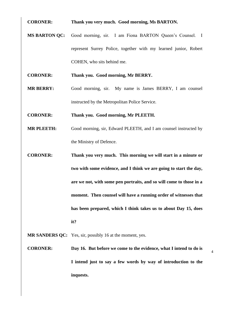**CORONER: Thank you very much. Good morning, Ms BARTON.**

**MS BARTON QC:** Good morning, sir. I am Fiona BARTON Queen's Counsel. I represent Surrey Police, together with my learned junior, Robert COHEN, who sits behind me.

**CORONER: Thank you. Good morning, Mr BERRY.**

**MR BERRY:** Good morning, sir. My name is James BERRY, I am counsel instructed by the Metropolitan Police Service.

**CORONER: Thank you. Good morning, Mr PLEETH.**

- **MR PLEETH:** Good morning, sir, Edward PLEETH, and I am counsel instructed by the Ministry of Defence.
- **CORONER: Thank you very much. This morning we will start in a minute or two with some evidence, and I think we are going to start the day, are we not, with some pen portraits, and so will come to those in a moment. Then counsel will have a running order of witnesses that has been prepared, which I think takes us to about Day 15, does it?**

**MR SANDERS QC:** Yes, sir, possibly 16 at the moment, yes.

**CORONER: Day 16. But before we come to the evidence, what I intend to do is I intend just to say a few words by way of introduction to the inquests.**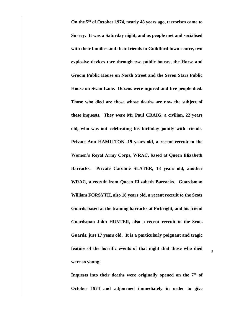**On the 5th of October 1974, nearly 48 years ago, terrorism came to Surrey. It was a Saturday night, and as people met and socialised with their families and their friends in Guildford town centre, two explosive devices tore through two public houses, the Horse and Groom Public House on North Street and the Seven Stars Public House on Swan Lane. Dozens were injured and five people died. Those who died are those whose deaths are now the subject of these inquests. They were Mr Paul CRAIG, a civilian, 22 years old, who was out celebrating his birthday jointly with friends. Private Ann HAMILTON, 19 years old, a recent recruit to the Women's Royal Army Corps, WRAC, based at Queen Elizabeth Barracks. Private Caroline SLATER, 18 years old, another WRAC, a recruit from Queen Elizabeth Barracks. Guardsman William FORSYTH, also 18 years old, a recent recruit to the Scots Guards based at the training barracks at Pirbright, and his friend Guardsman John HUNTER, also a recent recruit to the Scots Guards, just 17 years old. It is a particularly poignant and tragic feature of the horrific events of that night that those who died were so young.** 

**Inquests into their deaths were originally opened on the 7th of October 1974 and adjourned immediately in order to give**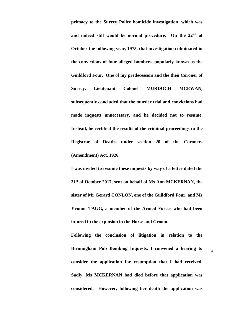**primacy to the Surrey Police homicide investigation, which was and indeed still would be normal procedure. On the 22nd of October the following year, 1975, that investigation culminated in the convictions of four alleged bombers, popularly known as the Guildford Four. One of my predecessors and the then Coroner of Surrey, Lieutenant Colonel MURDOCH MCEWAN, subsequently concluded that the murder trial and convictions had made inquests unnecessary, and he decided not to resume. Instead, he certified the results of the criminal proceedings to the Registrar of Deaths under section 20 of the Coroners (Amendment) Act, 1926.** 

**I was invited to resume these inquests by way of a letter dated the 31st of October 2017, sent on behalf of Ms Ann MCKERNAN, the sister of Mr Gerard CONLON, one of the Guildford Four, and Ms Yvonne TAGG, a member of the Armed Forces who had been injured in the explosion in the Horse and Groom.** 

**Following the conclusion of litigation in relation to the Birmingham Pub Bombing Inquests, I convened a hearing to consider the application for resumption that I had received. Sadly, Ms MCKERNAN had died before that application was considered. However, following her death the application was**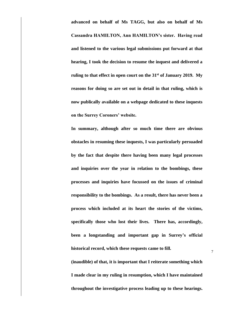**advanced on behalf of Ms TAGG, but also on behalf of Ms Cassandra HAMILTON, Ann HAMILTON's sister. Having read and listened to the various legal submissions put forward at that hearing, I took the decision to resume the inquest and delivered a ruling to that effect in open court on the 31st of January 2019. My reasons for doing so are set out in detail in that ruling, which is now publically available on a webpage dedicated to these inquests on the Surrey Coroners' website.** 

**In summary, although after so much time there are obvious obstacles in resuming these inquests, I was particularly persuaded by the fact that despite there having been many legal processes and inquiries over the year in relation to the bombings, these processes and inquiries have focussed on the issues of criminal responsibility to the bombings. As a result, there has never been a process which included at its heart the stories of the victims, specifically those who lost their lives. There has, accordingly, been a longstanding and important gap in Surrey's official historical record, which these requests came to fill.** 

**(inaudible) of that, it is important that I reiterate something which I made clear in my ruling in resumption, which I have maintained throughout the investigative process leading up to these hearings.**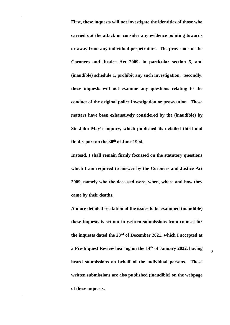**First, these inquests will not investigate the identities of those who carried out the attack or consider any evidence pointing towards or away from any individual perpetrators. The provisions of the Coroners and Justice Act 2009, in particular section 5, and (inaudible) schedule 1, prohibit any such investigation. Secondly, these inquests will not examine any questions relating to the conduct of the original police investigation or prosecution. Those matters have been exhaustively considered by the (inaudible) by Sir John May's inquiry, which published its detailed third and final report on the 30th of June 1994.** 

**Instead, I shall remain firmly focussed on the statutory questions which I am required to answer by the Coroners and Justice Act 2009, namely who the deceased were, when, where and how they came by their deaths.** 

**A more detailed recitation of the issues to be examined (inaudible) these inquests is set out in written submissions from counsel for the inquests dated the 23rd of December 2021, which I accepted at a Pre-Inquest Review hearing on the 14th of January 2022, having heard submissions on behalf of the individual persons. Those written submissions are also published (inaudible) on the webpage of these inquests.**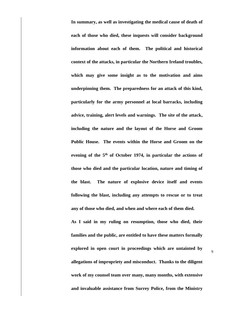**In summary, as well as investigating the medical cause of death of each of those who died, these inquests will consider background information about each of them. The political and historical context of the attacks, in particular the Northern Ireland troubles, which may give some insight as to the motivation and aims underpinning them. The preparedness for an attack of this kind, particularly for the army personnel at local barracks, including advice, training, alert levels and warnings. The site of the attack, including the nature and the layout of the Horse and Groom Public House. The events within the Horse and Groom on the evening of the 5th of October 1974, in particular the actions of those who died and the particular location, nature and timing of the blast. The nature of explosive device itself and events following the blast, including any attempts to rescue or to treat any of those who died, and when and where each of them died.** 

**As I said in my ruling on resumption, those who died, their families and the public, are entitled to have these matters formally explored in open court in proceedings which are untainted by allegations of impropriety and misconduct. Thanks to the diligent work of my counsel team over many, many months, with extensive and invaluable assistance from Surrey Police, from the Ministry**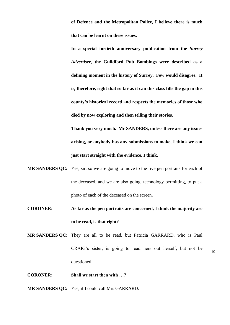**of Defence and the Metropolitan Police, I believe there is much that can be learnt on these issues.** 

**In a special fortieth anniversary publication from the** *Surrey Advertiser***, the Guildford Pub Bombings were described as a defining moment in the history of Surrey. Few would disagree. It is, therefore, right that so far as it can this class fills the gap in this county's historical record and respects the memories of those who died by now exploring and then telling their stories.** 

**Thank you very much. Mr SANDERS, unless there are any issues arising, or anybody has any submissions to make, I think we can just start straight with the evidence, I think.**

- **MR SANDERS QC:** Yes, sir, so we are going to move to the five pen portraits for each of the deceased, and we are also going, technology permitting, to put a photo of each of the deceased on the screen.
- **CORONER: As far as the pen portraits are concerned, I think the majority are to be read, is that right?**
- **MR SANDERS QC:** They are all to be read, but Patricia GARRARD, who is Paul CRAIG's sister, is going to read hers out herself, but not be questioned.

10

**CORONER: Shall we start then with …?**

**MR SANDERS QC:** Yes, if I could call Mrs GARRARD.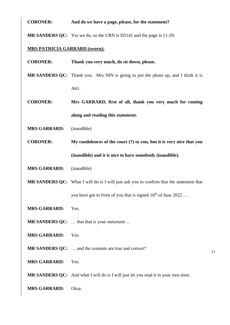#### **CORONER: And do we have a page, please, for the statement?**

**MR SANDERS QC:** Yes we do, so the URN is D5141 and the page is 11-29.

#### **MRS PATRICIA GARRARD (sworn):**

**CORONER: Thank you very much, do sit down, please.** 

**MR SANDERS QC:** Thank you. Mrs NIN is going to put the photo up, and I think it is A61.

**CORONER: Mrs GARRARD, first of all, thank you very much for coming along and reading this statement.** 

**MRS GARRARD:** (inaudible)

**CORONER: My condolences of the court (?) to you, but it is very nice that you (inaudible) and it is nice to have somebody (inaudible).**

**MRS GARRARD:** (inaudible)

**MR SANDERS QC:** What I will do is I will just ask you to confirm that the statement that you have got in front of you that is signed  $16<sup>th</sup>$  of June 2022 ...

- **MRS GARRARD:** Yes.
- **MR SANDERS QC:** ... that that is your statement ...
- **MRS GARRARD:** Yes.
- **MR SANDERS QC:** … and the contents are true and correct?
- **MRS GARRARD:** Yes.

**MR SANDERS QC:** And what I will do is I will just let you read it in your own time.

11

**MRS GARRARD:** Okay.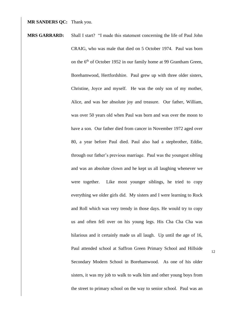#### **MR SANDERS QC:** Thank you.

**MRS GARRARD:** Shall I start? "I made this statement concerning the life of Paul John CRAIG, who was male that died on 5 October 1974. Paul was born on the 6<sup>th</sup> of October 1952 in our family home at 99 Grantham Green, Borehamwood, Hertfordshire. Paul grew up with three older sisters, Christine, Joyce and myself. He was the only son of my mother, Alice, and was her absolute joy and treasure. Our father, William, was over 50 years old when Paul was born and was over the moon to have a son. Our father died from cancer in November 1972 aged over 80, a year before Paul died. Paul also had a stepbrother, Eddie, through our father's previous marriage. Paul was the youngest sibling and was an absolute clown and he kept us all laughing whenever we were together. Like most younger siblings, he tried to copy everything we older girls did. My sisters and I were learning to Rock and Roll which was very trendy in those days. He would try to copy us and often fell over on his young legs. His Cha Cha Cha was hilarious and it certainly made us all laugh. Up until the age of 16, Paul attended school at Saffron Green Primary School and Hillside Secondary Modern School in Borehamwood. As one of his older sisters, it was my job to walk to walk him and other young boys from the street to primary school on the way to senior school. Paul was an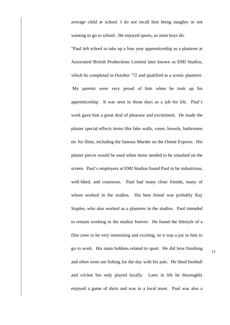average child at school. I do not recall him being naughty or not wanting to go to school. He enjoyed sports, as most boys do.

"Paul left school to take up a four year apprenticeship as a plasterer at Associated British Productions Limited later known as EMI Studios, which he completed in October '72 and qualified as a scenic plasterer. My parents were very proud of him when he took up his apprenticeship. It was seen in those days as a job for life. Paul's work gave him a great deal of pleasure and excitement. He made the plaster special effects items like fake walls, vases, bowels, bathrooms etc for films, including the famous Murder on the Orient Express. His plaster pieces would be used when items needed to be smashed on the screen. Paul's employers at EMI Studios found Paul to be industrious, well-liked, and courteous. Paul had many close friends, many of whom worked in the studios. His best friend was probably Ray Staples, who also worked as a plasterer in the studios. Paul intended to remain working in the studios forever. He found the lifestyle of a film crew to be very interesting and exciting, so it was a joy to him to go to work. His main hobbies related to sport. He did love finishing and often went out fishing for the day with his pals. He liked football and cricket but only played locally. Later in life he thoroughly enjoyed a game of darts and was in a local team. Paul was also a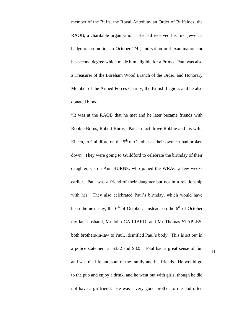member of the Buffs, the Royal Antediluvian Order of Buffaloes, the RAOB, a charitable organisation. He had received his first jewel, a badge of promotion in October '74', and sat an oral examination for his second degree which made him eligible for a Primo. Paul was also a Treasurer of the Boreham Wood Branch of the Order, and Honorary Member of the Armed Forces Charity, the British Legion, and he also donated blood.

"It was at the RAOB that he met and he later became friends with Robbie Burns, Robert Burns. Paul in fact drove Robbie and his wife, Eileen, to Guildford on the  $5<sup>th</sup>$  of October as their own car had broken down. They were going to Guildford to celebrate the birthday of their daughter, Caron Ann BURNS, who joined the WRAC a few weeks earlier. Paul was a friend of their daughter but not in a relationship with her. They also celebrated Paul's birthday, which would have been the next day, the 6<sup>th</sup> of October. Instead, on the 6<sup>th</sup> of October my late husband, Mr John GARRARD, and Mr Thomas STAPLES, both brothers-in-law to Paul, identified Paul's body. This is set out in a police statement at S332 and S325. Paul had a great sense of fun and was the life and soul of the family and his friends. He would go to the pub and enjoy a drink, and he went out with girls, though he did not have a girlfriend. He was a very good brother to me and often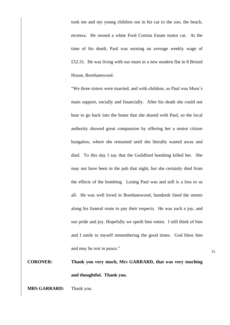took me and my young children out in his car to the zoo, the beach, etcetera. He owned a white Ford Cortina Estate motor car. At the time of his death, Paul was earning an average weekly wage of £52.31. He was living with our mum in a new modern flat in 8 Bristol House, Borehamwood.

"We three sisters were married, and with children, so Paul was Mum's main support, socially and financially. After his death she could not bear to go back into the home that she shared with Paul, so the local authority showed great compassion by offering her a senior citizen bungalow, where she remained until she literally wasted away and died. To this day I say that the Guildford bombing killed her. She may not have been in the pub that night, but she certainly died from the effects of the bombing. Losing Paul was and still is a loss to us all. He was well loved in Borehamwood, hundreds lined the streets along his funeral route to pay their respects. He was such a joy, and our pride and joy. Hopefully we spoilt him rotten. I still think of him and I smile to myself remembering the good times. God bless him and may he rest in peace."

### **CORONER: Thank you very much, Mrs GARRARD, that was very touching and thoughtful. Thank you.**

**MRS GARRARD:** Thank you.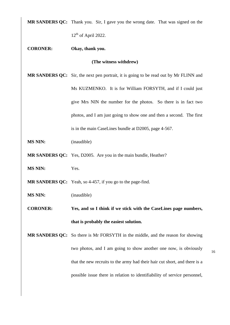**MR SANDERS QC:** Thank you. Sir, I gave you the wrong date. That was signed on the  $12<sup>th</sup>$  of April 2022.

**CORONER: Okay, thank you.**

**(The witness withdrew)**

- **MR SANDERS QC:** Sir, the next pen portrait, it is going to be read out by Mr FLINN and Ms KUZMENKO. It is for William FORSYTH, and if I could just give Mrs NIN the number for the photos. So there is in fact two photos, and I am just going to show one and then a second. The first is in the main CaseLines bundle at D2005, page 4-567.
- **MS NIN:** (inaudible)
- **MR SANDERS QC:** Yes, D2005. Are you in the main bundle, Heather?
- **MS NIN:** Yes.

**MR SANDERS QC:** Yeah, so 4-457, if you go to the page-find.

- **MS NIN:** (inaudible)
- **CORONER: Yes, and so I think if we stick with the CaseLines page numbers, that is probably the easiest solution.**

**MR SANDERS QC:** So there is Mr FORSYTH in the middle, and the reason for showing two photos, and I am going to show another one now, is obviously that the new recruits to the army had their hair cut short, and there is a possible issue there in relation to identifiability of service personnel,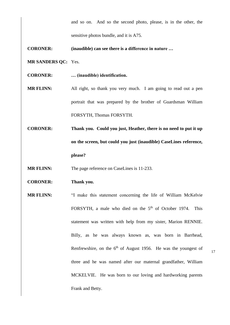and so on. And so the second photo, please, is in the other, the sensitive photos bundle, and it is A75.

**CORONER: (inaudible) can see there is a difference in nature …**

**MR SANDERS QC:** Yes.

**CORONER: … (inaudible) identification.**

**MR FLINN:** All right, so thank you very much. I am going to read out a pen portrait that was prepared by the brother of Guardsman William FORSYTH, Thomas FORSYTH.

**CORONER: Thank you. Could you just, Heather, there is no need to put it up on the screen, but could you just (inaudible) CaseLines reference, please?**

**MR FLINN:** The page reference on CaseLines is 11-233.

**CORONER: Thank you.**

**MR FLINN:** "I make this statement concerning the life of William McKelvie FORSYTH, a male who died on the 5<sup>th</sup> of October 1974. This statement was written with help from my sister, Marion RENNIE. Billy, as he was always known as, was born in Barrhead, Renfrewshire, on the 6<sup>th</sup> of August 1956. He was the youngest of three and he was named after our maternal grandfather, William MCKELVIE. He was born to our loving and hardworking parents Frank and Betty.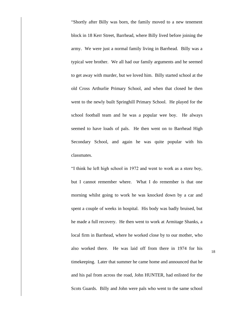"Shortly after Billy was born, the family moved to a new tenement block in 18 Kerr Street, Barrhead, where Billy lived before joining the army. We were just a normal family living in Barrhead. Billy was a typical wee brother. We all had our family arguments and he seemed to get away with murder, but we loved him. Billy started school at the old Cross Arthurlie Primary School, and when that closed he then went to the newly built Springhill Primary School. He played for the school football team and he was a popular wee boy. He always seemed to have loads of pals. He then went on to Barrhead High Secondary School, and again he was quite popular with his classmates.

"I think he left high school in 1972 and went to work as a store boy, but I cannot remember where. What I do remember is that one morning whilst going to work he was knocked down by a car and spent a couple of weeks in hospital. His body was badly bruised, but he made a full recovery. He then went to work at Armitage Shanks, a local firm in Barrhead, where he worked close by to our mother, who also worked there. He was laid off from there in 1974 for his timekeeping. Later that summer he came home and announced that he and his pal from across the road, John HUNTER, had enlisted for the Scots Guards. Billy and John were pals who went to the same school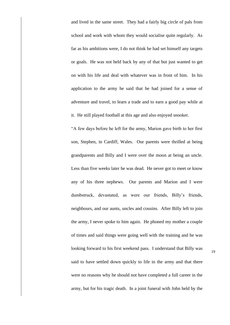and lived in the same street. They had a fairly big circle of pals from school and work with whom they would socialise quite regularly. As far as his ambitions were, I do not think he had set himself any targets or goals. He was not held back by any of that but just wanted to get on with his life and deal with whatever was in front of him. In his application to the army he said that he had joined for a sense of adventure and travel, to learn a trade and to earn a good pay while at it. He still played football at this age and also enjoyed snooker.

"A few days before he left for the army, Marion gave birth to her first son, Stephen, in Cardiff, Wales. Our parents were thrilled at being grandparents and Billy and I were over the moon at being an uncle. Less than five weeks later he was dead. He never got to meet or know any of his three nephews. Our parents and Marion and I were dumbstruck, devastated, as were our friends, Billy's friends, neighbours, and our aunts, uncles and cousins. After Billy left to join the army, I never spoke to him again. He phoned my mother a couple of times and said things were going well with the training and he was looking forward to his first weekend pass. I understand that Billy was said to have settled down quickly to life in the army and that there were no reasons why he should not have completed a full career in the army, but for his tragic death. In a joint funeral with John held by the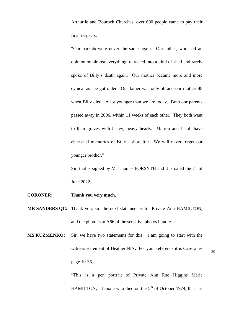Arthurlie and Bourock Churches, over 600 people came to pay their final respects.

"Our parents were never the same again. Our father, who had an opinion on almost everything, retreated into a kind of shell and rarely spoke of Billy's death again. Our mother became more and more cynical as she got older. Our father was only 50 and our mother 48 when Billy died. A lot younger than we are today. Both our parents passed away in 2006, within 11 weeks of each other. They both went to their graves with heavy, heavy hearts. Marion and I still have cherished memories of Billy's short life. We will never forget our younger brother."

Sir, that is signed by Mr Thomas FORSYTH and it is dated the  $7<sup>th</sup>$  of June 2022.

- **CORONER: Thank you very much.**
- **MR SANDERS QC:** Thank you, sir, the next statement is for Private Ann HAMILTON, and the photo is at A66 of the sensitive photos bundle.
- **MS KUZMENKO:** Sir, we have two statements for this. I am going to start with the witness statement of Heather NIN. For your reference it is CaseLines page 10-36.

"This is a pen portrait of Private Ann Rae Higgins Marie HAMILTON, a female who died on the  $5<sup>th</sup>$  of October 1974, that has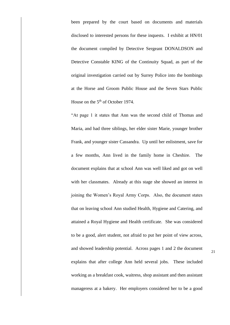been prepared by the court based on documents and materials disclosed to interested persons for these inquests. I exhibit at HN/01 the document compiled by Detective Sergeant DONALDSON and Detective Constable KING of the Continuity Squad, as part of the original investigation carried out by Surrey Police into the bombings at the Horse and Groom Public House and the Seven Stars Public House on the 5<sup>th</sup> of October 1974.

"At page 1 it states that Ann was the second child of Thomas and Maria, and had three siblings, her elder sister Marie, younger brother Frank, and younger sister Cassandra. Up until her enlistment, save for a few months, Ann lived in the family home in Cheshire. The document explains that at school Ann was well liked and got on well with her classmates. Already at this stage she showed an interest in joining the Women's Royal Army Corps. Also, the document states that on leaving school Ann studied Health, Hygiene and Catering, and attained a Royal Hygiene and Health certificate. She was considered to be a good, alert student, not afraid to put her point of view across, and showed leadership potential. Across pages 1 and 2 the document explains that after college Ann held several jobs. These included working as a breakfast cook, waitress, shop assistant and then assistant manageress at a bakery. Her employers considered her to be a good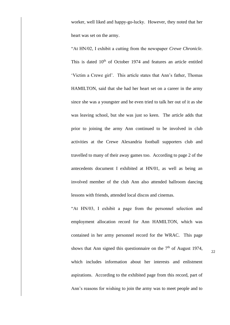worker, well liked and happy-go-lucky. However, they noted that her heart was set on the army.

"At HN/02, I exhibit a cutting from the newspaper *Crewe Chronicle*. This is dated  $10<sup>th</sup>$  of October 1974 and features an article entitled 'Victim a Crewe girl'. This article states that Ann's father, Thomas HAMILTON, said that she had her heart set on a career in the army since she was a youngster and he even tried to talk her out of it as she was leaving school, but she was just so keen. The article adds that prior to joining the army Ann continued to be involved in club activities at the Crewe Alexandria football supporters club and travelled to many of their away games too. According to page 2 of the antecedents document I exhibited at HN/01, as well as being an involved member of the club Ann also attended ballroom dancing lessons with friends, attended local discos and cinemas.

"At HN/03, I exhibit a page from the personnel selection and employment allocation record for Ann HAMILTON, which was contained in her army personnel record for the WRAC. This page shows that Ann signed this questionnaire on the  $7<sup>th</sup>$  of August 1974, which includes information about her interests and enlistment aspirations. According to the exhibited page from this record, part of Ann's reasons for wishing to join the army was to meet people and to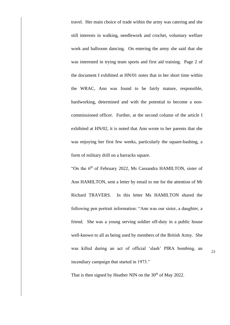travel. Her main choice of trade within the army was catering and she still interests in walking, needlework and crochet, voluntary welfare work and ballroom dancing. On entering the army she said that she was interested in trying team sports and first aid training. Page 2 of the document I exhibited at HN/01 notes that in her short time within the WRAC, Ann was found to be fairly mature, responsible, hardworking, determined and with the potential to become a noncommissioned officer. Further, at the second column of the article I exhibited at HN/02, it is noted that Ann wrote to her parents that she was enjoying her first few weeks, particularly the square-bashing, a form of military drill on a barracks square.

"On the 6<sup>th</sup> of February 2022, Ms Cassandra HAMILTON, sister of Ann HAMILTON, sent a letter by email to me for the attention of Mr Richard TRAVERS. In this letter Ms HAMILTON shared the following pen portrait information: "Ann was our sister, a daughter, a friend. She was a young serving soldier off-duty in a public house well-known to all as being used by members of the British Army. She was killed during an act of official 'slash' PIRA bombing, an incendiary campaign that started in 1973."

23

That is then signed by Heather NIN on the  $30<sup>th</sup>$  of May 2022.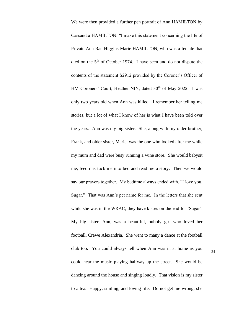We were then provided a further pen portrait of Ann HAMILTON by Cassandra HAMILTON: "I make this statement concerning the life of Private Ann Rae Higgins Marie HAMILTON, who was a female that died on the 5<sup>th</sup> of October 1974. I have seen and do not dispute the contents of the statement S2912 provided by the Coroner's Officer of HM Coroners' Court, Heather NIN, dated 30<sup>th</sup> of May 2022. I was only two years old when Ann was killed. I remember her telling me stories, but a lot of what I know of her is what I have been told over the years. Ann was my big sister. She, along with my older brother, Frank, and older sister, Marie, was the one who looked after me while my mum and dad were busy running a wine store. She would babysit me, feed me, tuck me into bed and read me a story. Then we would say our prayers together. My bedtime always ended with, "I love you, Sugar." That was Ann's pet name for me. In the letters that she sent while she was in the WRAC, they have kisses on the end for 'Sugar'. My big sister, Ann, was a beautiful, bubbly girl who loved her football, Crewe Alexandria. She went to many a dance at the football club too. You could always tell when Ann was in at home as you could hear the music playing halfway up the street. She would be dancing around the house and singing loudly. That vision is my sister to a tea. Happy, smiling, and loving life. Do not get me wrong, she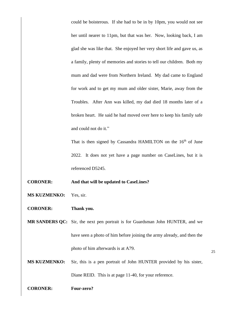could be boisterous. If she had to be in by 10pm, you would not see her until nearer to 11pm, but that was her. Now, looking back, I am glad she was like that. She enjoyed her very short life and gave us, as a family, plenty of memories and stories to tell our children. Both my mum and dad were from Northern Ireland. My dad came to England for work and to get my mum and older sister, Marie, away from the Troubles. After Ann was killed, my dad died 18 months later of a broken heart. He said he had moved over here to keep his family safe and could not do it."

That is then signed by Cassandra HAMILTON on the 16<sup>th</sup> of June 2022. It does not yet have a page number on CaseLines, but it is referenced D5245.

- **CORONER: And that will be updated to CaseLines?**
- **MS KUZMENKO:** Yes, sir.
- **CORONER: Thank you.**

**MR SANDERS QC:** Sir, the next pen portrait is for Guardsman John HUNTER, and we have seen a photo of him before joining the army already, and then the photo of him afterwards is at A79.

**MS KUZMENKO:** Sir, this is a pen portrait of John HUNTER provided by his sister, Diane REID. This is at page 11-40, for your reference.

**CORONER: Four-zero?**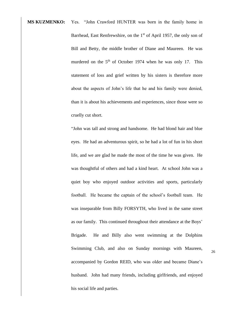**MS KUZMENKO:** Yes. "John Crawford HUNTER was born in the family home in Barrhead, East Renfrewshire, on the  $1<sup>st</sup>$  of April 1957, the only son of Bill and Betty, the middle brother of Diane and Maureen. He was murdered on the  $5<sup>th</sup>$  of October 1974 when he was only 17. This statement of loss and grief written by his sisters is therefore more about the aspects of John's life that he and his family were denied, than it is about his achievements and experiences, since those were so cruelly cut short.

> "John was tall and strong and handsome. He had blond hair and blue eyes. He had an adventurous spirit, so he had a lot of fun in his short life, and we are glad he made the most of the time he was given. He was thoughtful of others and had a kind heart. At school John was a quiet boy who enjoyed outdoor activities and sports, particularly football. He became the captain of the school's football team. He was inseparable from Billy FORSYTH, who lived in the same street as our family. This continued throughout their attendance at the Boys' Brigade. He and Billy also went swimming at the Dolphins Swimming Club, and also on Sunday mornings with Maureen, accompanied by Gordon REID, who was older and became Diane's husband. John had many friends, including girlfriends, and enjoyed his social life and parties.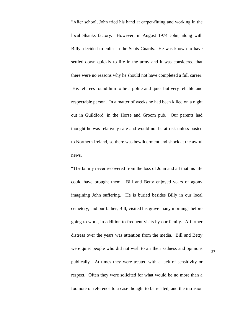"After school, John tried his hand at carpet-fitting and working in the local Shanks factory. However, in August 1974 John, along with Billy, decided to enlist in the Scots Guards. He was known to have settled down quickly to life in the army and it was considered that there were no reasons why he should not have completed a full career. His referees found him to be a polite and quiet but very reliable and respectable person. In a matter of weeks he had been killed on a night out in Guildford, in the Horse and Groom pub. Our parents had thought he was relatively safe and would not be at risk unless posted to Northern Ireland, so there was bewilderment and shock at the awful news.

"The family never recovered from the loss of John and all that his life could have brought them. Bill and Betty enjoyed years of agony imagining John suffering. He is buried besides Billy in our local cemetery, and our father, Bill, visited his grave many mornings before going to work, in addition to frequent visits by our family. A further distress over the years was attention from the media. Bill and Betty were quiet people who did not wish to air their sadness and opinions publically. At times they were treated with a lack of sensitivity or respect. Often they were solicited for what would be no more than a footnote or reference to a case thought to be related, and the intrusion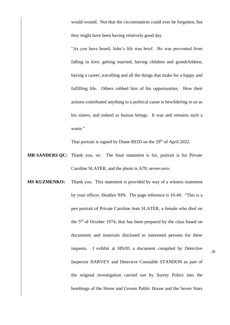would wound. Not that the circumstances could ever be forgotten, but they might have been having relatively good day.

"As you have heard, John's life was brief. He was prevented from falling in love, getting married, having children and grandchildren, having a career, travelling and all the things that make for a happy and fulfilling life. Others robbed him of his opportunities. How their actions contributed anything to a political cause is bewildering to us as his sisters, and indeed as human beings. It was and remains such a waste."

That portrait is signed by Diane REID on the 29<sup>th</sup> of April 2022.

- **MR SANDERS QC:** Thank you, sir. The final statement is for, portrait is for Private Caroline SLATER, and the photo is A70, seven-zero.
- **MS KUZMENKO:** Thank you. This statement is provided by way of a witness statement by your officer, Heather NIN. The page reference is 10-48. "This is a pen portrait of Private Caroline Jean SLATER, a female who died on the 5th of October 1974, that has been prepared by the class based on documents and materials disclosed to interested persons for these inquests. I exhibit at HN/01 a document compiled by Detective Inspector HARVEY and Detective Constable STANDON as part of the original investigation carried out by Surrey Police into the bombings of the Horse and Groom Public House and the Seven Stars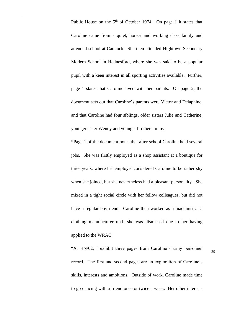Public House on the  $5<sup>th</sup>$  of October 1974. On page 1 it states that Caroline came from a quiet, honest and working class family and attended school at Cannock. She then attended Hightown Secondary Modern School in Hednesford, where she was said to be a popular pupil with a keen interest in all sporting activities available. Further, page 1 states that Caroline lived with her parents. On page 2, the document sets out that Caroline's parents were Victor and Delaphine, and that Caroline had four siblings, older sisters Julie and Catherine, younger sister Wendy and younger brother Jimmy.

**"**Page 1 of the document notes that after school Caroline held several jobs. She was firstly employed as a shop assistant at a boutique for three years, where her employer considered Caroline to be rather shy when she joined, but she nevertheless had a pleasant personality. She mixed in a tight social circle with her fellow colleagues, but did not have a regular boyfriend. Caroline then worked as a machinist at a clothing manufacturer until she was dismissed due to her having applied to the WRAC.

"At HN/02, I exhibit three pages from Caroline's army personnel record. The first and second pages are an exploration of Caroline's skills, interests and ambitions. Outside of work, Caroline made time to go dancing with a friend once or twice a week. Her other interests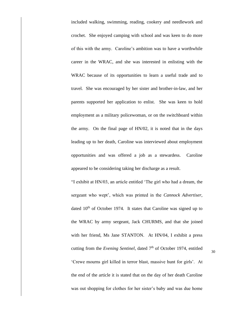included walking, swimming, reading, cookery and needlework and crochet. She enjoyed camping with school and was keen to do more of this with the army. Caroline's ambition was to have a worthwhile career in the WRAC, and she was interested in enlisting with the WRAC because of its opportunities to learn a useful trade and to travel. She was encouraged by her sister and brother-in-law, and her parents supported her application to enlist. She was keen to hold employment as a military policewoman, or on the switchboard within the army. On the final page of HN/02, it is noted that in the days leading up to her death, Caroline was interviewed about employment opportunities and was offered a job as a stewardess. Caroline appeared to be considering taking her discharge as a result.

"I exhibit at HN/03, an article entitled 'The girl who had a dream, the sergeant who wept', which was printed in the *Cannock Advertiser*, dated  $10<sup>th</sup>$  of October 1974. It states that Caroline was signed up to the WRAC by army sergeant, Jack CHURMS, and that she joined with her friend, Ms Jane STANTON. At HN/04, I exhibit a press cutting from the *Evening Sentinel*, dated 7<sup>th</sup> of October 1974, entitled 'Crewe mourns girl killed in terror blast, massive hunt for girls'. At the end of the article it is stated that on the day of her death Caroline was out shopping for clothes for her sister's baby and was due home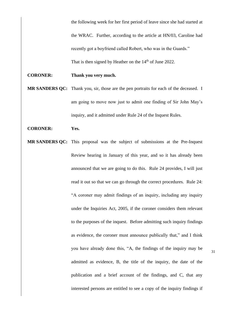the following week for her first period of leave since she had started at the WRAC. Further, according to the article at HN/03, Caroline had recently got a boyfriend called Robert, who was in the Guards." That is then signed by Heather on the  $14<sup>th</sup>$  of June 2022.

#### **CORONER: Thank you very much.**

**MR SANDERS QC:** Thank you, sir, those are the pen portraits for each of the deceased. I am going to move now just to admit one finding of Sir John May's inquiry, and it admitted under Rule 24 of the Inquest Rules.

#### **CORONER: Yes.**

**MR SANDERS OC:** This proposal was the subject of submissions at the Pre-Inquest Review hearing in January of this year, and so it has already been announced that we are going to do this. Rule 24 provides, I will just read it out so that we can go through the correct procedures. Rule 24: "A coroner may admit findings of an inquiry, including any inquiry under the Inquiries Act, 2005, if the coroner considers them relevant to the purposes of the inquest. Before admitting such inquiry findings as evidence, the coroner must announce publically that," and I think you have already done this, "A, the findings of the inquiry may be admitted as evidence, B, the title of the inquiry, the date of the publication and a brief account of the findings, and C, that any interested persons are entitled to see a copy of the inquiry findings if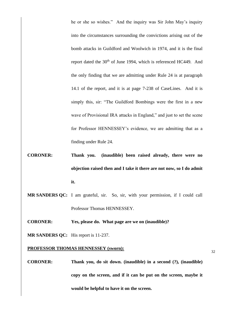he or she so wishes." And the inquiry was Sir John May's inquiry into the circumstances surrounding the convictions arising out of the bomb attacks in Guildford and Woolwich in 1974, and it is the final report dated the 30<sup>th</sup> of June 1994, which is referenced HC449. And the only finding that we are admitting under Rule 24 is at paragraph 14.1 of the report, and it is at page 7-238 of CaseLines. And it is simply this, sir: "The Guildford Bombings were the first in a new wave of Provisional IRA attacks in England," and just to set the scene for Professor HENNESSEY's evidence, we are admitting that as a finding under Rule 24.

- **CORONER: Thank you. (inaudible) been raised already, there were no objection raised then and I take it there are not now, so I do admit it.**
- **MR SANDERS QC:** I am grateful, sir. So, sir, with your permission, if I could call Professor Thomas HENNESSEY.
- **CORONER: Yes, please do. What page are we on (inaudible)?**

**MR SANDERS QC:** His report is 11-237.

#### **PROFESSOR THOMAS HENNESSEY (sworn):**

**CORONER: Thank you, do sit down. (inaudible) in a second (?), (inaudible) copy on the screen, and if it can be put on the screen, maybe it would be helpful to have it on the screen.**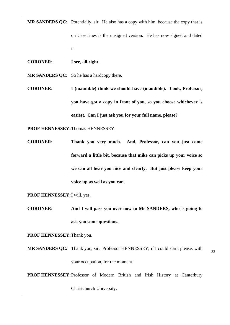**MR SANDERS QC:** Potentially, sir. He also has a copy with him, because the copy that is on CaseLines is the unsigned version. He has now signed and dated it.

**CORONER: I see, all right.**

**MR SANDERS QC:** So he has a hardcopy there.

**CORONER: I (inaudible) think we should have (inaudible). Look, Professor, you have got a copy in front of you, so you choose whichever is easiest. Can I just ask you for your full name, please?**

**PROF HENNESSEY:**Thomas HENNESSEY.

**CORONER: Thank you very much. And, Professor, can you just come forward a little bit, because that mike can picks up your voice so we can all hear you nice and clearly. But just please keep your voice up as well as you can.**

**PROF HENNESSEY:**I will, yes.

**CORONER: And I will pass you over now to Mr SANDERS, who is going to ask you some questions.**

**PROF HENNESSEY:**Thank you.

33 **MR SANDERS QC:** Thank you, sir. Professor HENNESSEY, if I could start, please, with your occupation, for the moment.

**PROF HENNESSEY:**Professor of Modern British and Irish History at Canterbury

Christchurch University.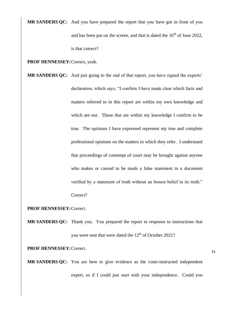**MR SANDERS QC:** And you have prepared the report that you have got in front of you and has been put on the screen, and that is dated the  $16<sup>th</sup>$  of June 2022, is that correct?

**PROF HENNESSEY:**Correct, yeah.

**MR SANDERS QC:** And just going to the end of that report, you have signed the experts' declaration, which says, "I confirm I have made clear which facts and matters referred to in this report are within my own knowledge and which are not. Those that are within my knowledge I confirm to be true. The opinions I have expressed represent my true and complete professional opinions on the matters to which they refer. I understand that proceedings of contempt of court may be brought against anyone who makes or caused to be made a false statement in a document verified by a statement of truth without an honest belief in its truth."

Correct?

#### **PROF HENNESSEY:**Correct.

**MR SANDERS QC:** Thank you. You prepared the report in response to instructions that you were sent that were dated the 12<sup>th</sup> of October 2021?

**PROF HENNESSEY:**Correct.

**MR SANDERS QC:** You are here to give evidence as the court-instructed independent expert, so if I could just start with your independence. Could you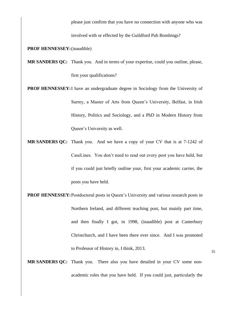please just confirm that you have no connection with anyone who was

involved with or effected by the Guildford Pub Bombings?

#### **PROF HENNESSEY:**(inaudible)

- **MR SANDERS QC:** Thank you. And in terms of your expertise, could you outline, please, first your qualifications?
- **PROF HENNESSEY:** I have an undergraduate degree in Sociology from the University of Surrey, a Master of Arts from Queen's University, Belfast, in Irish History, Politics and Sociology, and a PhD in Modern History from Queen's University as well.
- **MR SANDERS QC:** Thank you. And we have a copy of your CV that is at 7-1242 of CaseLines. You don't need to read out every post you have held, but if you could just briefly outline your, first your academic carrier, the posts you have held.
- **PROF HENNESSEY:** Postdoctoral posts in Queen's University and various research posts in Northern Ireland, and different teaching post, but mainly part time, and then finally I got, in 1998, (inaudible) post at Canterbury Christchurch, and I have been there ever since. And I was promoted to Professor of History in, I think, 2013.
- **MR SANDERS QC:** Thank you. There also you have detailed in your CV some nonacademic roles that you have held. If you could just, particularly the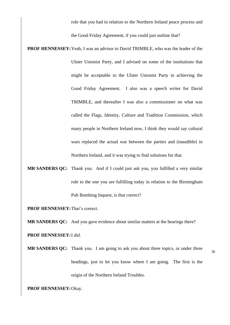role that you had in relation to the Northern Ireland peace process and the Good Friday Agreement, if you could just outline that?

**PROF HENNESSEY:**Yeah, I was an advisor to David TRIMBLE, who was the leader of the Ulster Unionist Party, and I advised on some of the institutions that might be acceptable to the Ulster Unionist Party in achieving the Good Friday Agreement. I also was a speech writer for David TRIMBLE, and thereafter I was also a commissioner on what was called the Flags, Identity, Culture and Tradition Commission, which many people in Northern Ireland now, I think they would say cultural wars replaced the actual war between the parties and (inaudible) in Northern Ireland, and it was trying to find solutions for that.

# **MR SANDERS QC:** Thank you. And if I could just ask you, you fulfilled a very similar role to the one you are fulfilling today in relation to the Birmingham Pub Bombing Inquest, is that correct?

**PROF HENNESSEY:**That's correct.

**MR SANDERS QC:** And you gave evidence about similar matters at the hearings there?

**PROF HENNESSEY:**I did.

**MR SANDERS QC:** Thank you. I am going to ask you about three topics, or under three headings, just to let you know where I am going. The first is the origin of the Northern Ireland Troubles.

**PROF HENNESSEY:**Okay.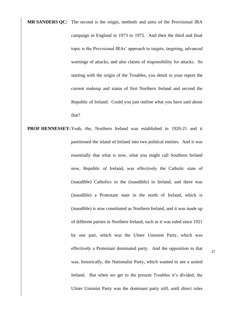**MR SANDERS QC:** The second is the origin, methods and aims of the Provisional IRA campaign in England in 1973 to 1975. And then the third and final topic is the Provisional IRAs' approach to targets, targeting, advanced warnings of attacks, and also claims of responsibility for attacks. So starting with the origin of the Troubles, you detail in your report the current makeup and status of first Northern Ireland and second the Republic of Ireland. Could you just outline what you have said about that?

**PROF HENNESSEY:**Yeah, the, Northern Ireland was established in 1920-21 and it partitioned the island of Ireland into two political entities. And it was essentially that what is now, what you might call Southern Ireland now, Republic of Ireland, was effectively the Catholic state of (inaudible) Catholics in the (inaudible) in Ireland, and there was (inaudible) a Protestant state in the north of Ireland, which is (inaudible) is now constituted as Northern Ireland, and it was made up of different parties in Northern Ireland, such as it was ruled since 1921 by one part, which was the Ulster Unionist Party, which was effectively a Protestant dominated party. And the opposition to that was, historically, the Nationalist Party, which wanted to see a united Ireland. But when we get to the present Troubles it's divided, the Ulster Unionist Party was the dominant party still, until direct rules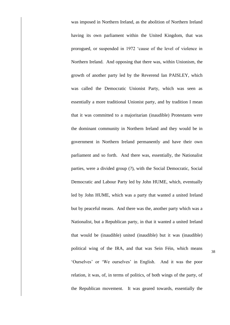was imposed in Northern Ireland, as the abolition of Northern Ireland having its own parliament within the United Kingdom, that was prorogued, or suspended in 1972 'cause of the level of violence in Northern Ireland. And opposing that there was, within Unionism, the growth of another party led by the Reverend Ian PAISLEY, which was called the Democratic Unionist Party, which was seen as essentially a more traditional Unionist party, and by tradition I mean that it was committed to a majoritarian (inaudible) Protestants were the dominant community in Northern Ireland and they would be in government in Northern Ireland permanently and have their own parliament and so forth. And there was, essentially, the Nationalist parties, were a divided group (?), with the Social Democratic, Social Democratic and Labour Party led by John HUME, which, eventually led by John HUME, which was a party that wanted a united Ireland but by peaceful means. And there was the, another party which was a Nationalist, but a Republican party, in that it wanted a united Ireland that would be (inaudible) united (inaudible) but it was (inaudible) political wing of the IRA, and that was Sein Féin, which means 'Ourselves' or 'We ourselves' in English. And it was the poor relation, it was, of, in terms of politics, of both wings of the party, of the Republican movement. It was geared towards, essentially the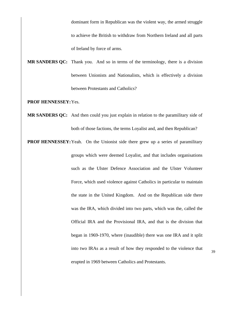dominant form in Republican was the violent way, the armed struggle to achieve the British to withdraw from Northern Ireland and all parts of Ireland by force of arms.

**MR SANDERS QC:** Thank you. And so in terms of the terminology, there is a division between Unionists and Nationalists, which is effectively a division between Protestants and Catholics?

**PROF HENNESSEY:**Yes.

- **MR SANDERS QC:** And then could you just explain in relation to the paramilitary side of both of those factions, the terms Loyalist and, and then Republican?
- **PROF HENNESSEY:** Yeah. On the Unionist side there grew up a series of paramilitary groups which were deemed Loyalist, and that includes organisations such as the Ulster Defence Association and the Ulster Volunteer Force, which used violence against Catholics in particular to maintain the state in the United Kingdom. And on the Republican side there was the IRA, which divided into two parts, which was the, called the Official IRA and the Provisional IRA, and that is the division that began in 1969-1970, where (inaudible) there was one IRA and it split into two IRAs as a result of how they responded to the violence that erupted in 1969 between Catholics and Protestants.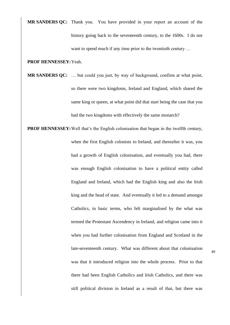**MR SANDERS QC:** Thank you. You have provided in your report an account of the history going back to the seventeenth century, to the 1600s. I do not want to spend much if any time prior to the twentieth century ...

## **PROF HENNESSEY:**Yeah.

**MR SANDERS QC:** … but could you just, by way of background, confirm at what point, so there were two kingdoms, Ireland and England, which shared the same king or queen, at what point did that start being the case that you had the two kingdoms with effectively the same monarch?

**PROF HENNESSEY:**Well that's the English colonisation that began in the twelfth century, when the first English colonists to Ireland, and thereafter it was, you had a growth of English colonisation, and eventually you had, there was enough English colonisation to have a political entity called England and Ireland, which had the English king and also the Irish king and the head of state. And eventually it led to a demand amongst Catholics, in basic terms, who felt marginalised by the what was termed the Protestant Ascendency in Ireland, and religion came into it when you had further colonisation from England and Scotland in the late-seventeenth century. What was different about that colonisation was that it introduced religion into the whole process. Prior to that there had been English Catholics and Irish Catholics, and there was still political division in Ireland as a result of that, but there was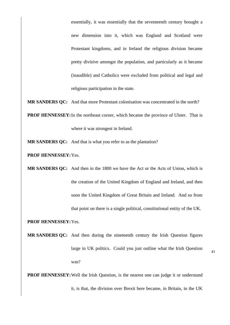essentially, it was essentially that the seventeenth century brought a new dimension into it, which was England and Scotland were Protestant kingdoms, and in Ireland the religious division became pretty divisive amongst the population, and particularly as it became (inaudible) and Catholics were excluded from political and legal and religious participation in the state.

**MR SANDERS QC:** And that more Protestant colonisation was concentrated in the north?

**PROF HENNESSEY:** In the northeast corner, which became the province of Ulster. That is where it was strongest in Ireland.

**MR SANDERS QC:** And that is what you refer to as the plantation?

**PROF HENNESSEY:**Yes.

**MR SANDERS QC:** And then in the 1800 we have the Act or the Acts of Union, which is the creation of the United Kingdom of England and Ireland, and then soon the United Kingdom of Great Britain and Ireland. And so from that point on there is a single political, constitutional entity of the UK.

**PROF HENNESSEY:**Yes.

**MR SANDERS QC:** And then during the nineteenth century the Irish Question figures large in UK politics. Could you just outline what the Irish Question was?

**PROF HENNESSEY:** Well the Irish Question, is the nearest one can judge it or understand it, is that, the division over Brexit here became, in Britain, in the UK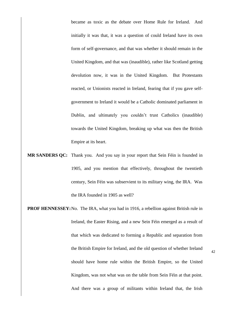became as toxic as the debate over Home Rule for Ireland. And initially it was that, it was a question of could Ireland have its own form of self-governance, and that was whether it should remain in the United Kingdom, and that was (inaudible), rather like Scotland getting devolution now, it was in the United Kingdom. But Protestants reacted, or Unionists reacted in Ireland, fearing that if you gave selfgovernment to Ireland it would be a Catholic dominated parliament in Dublin, and ultimately you couldn't trust Catholics (inaudible) towards the United Kingdom, breaking up what was then the British Empire at its heart.

- **MR SANDERS QC:** Thank you. And you say in your report that Sein Féin is founded in 1905, and you mention that effectively, throughout the twentieth century, Sein Féin was subservient to its military wing, the IRA. Was the IRA founded in 1905 as well?
- **PROF HENNESSEY:** No. The IRA, what you had in 1916, a rebellion against British rule in Ireland, the Easter Rising, and a new Sein Féin emerged as a result of that which was dedicated to forming a Republic and separation from the British Empire for Ireland, and the old question of whether Ireland should have home rule within the British Empire, so the United Kingdom, was not what was on the table from Sein Féin at that point. And there was a group of militants within Ireland that, the Irish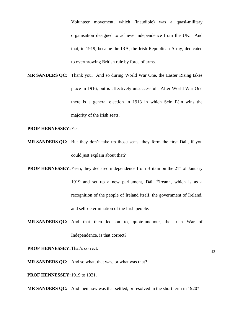Volunteer movement, which (inaudible) was a quasi-military organisation designed to achieve independence from the UK. And that, in 1919, became the IRA, the Irish Republican Army, dedicated to overthrowing British rule by force of arms.

**MR SANDERS QC:** Thank you. And so during World War One, the Easter Rising takes place in 1916, but is effectively unsuccessful. After World War One there is a general election in 1918 in which Sein Féin wins the majority of the Irish seats.

**PROF HENNESSEY:**Yes.

**MR SANDERS QC:** But they don't take up those seats, they form the first Dáil, if you could just explain about that?

**PROF HENNESSEY:** Yeah, they declared independence from Britain on the 21<sup>st</sup> of January 1919 and set up a new parliament, Dáil Éireann, which is as a recognition of the people of Ireland itself, the government of Ireland, and self-determination of the Irish people.

**MR SANDERS QC:** And that then led on to, quote-unquote, the Irish War of Independence, is that correct?

**PROF HENNESSEY:**That's correct.

**MR SANDERS QC:** And so what, that was, or what was that?

**PROF HENNESSEY:**1919 to 1921.

**MR SANDERS QC:** And then how was that settled, or resolved in the short term in 1920?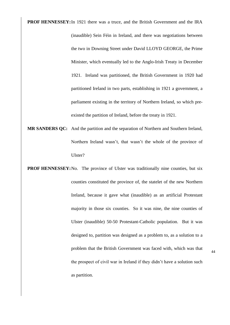**PROF HENNESSEY:**In 1921 there was a truce, and the British Government and the IRA (inaudible) Sein Féin in Ireland, and there was negotiations between the two in Downing Street under David LLOYD GEORGE, the Prime Minister, which eventually led to the Anglo-Irish Treaty in December 1921. Ireland was partitioned, the British Government in 1920 had partitioned Ireland in two parts, establishing in 1921 a government, a parliament existing in the territory of Northern Ireland, so which preexisted the partition of Ireland, before the treaty in 1921.

- **MR SANDERS QC:** And the partition and the separation of Northern and Southern Ireland, Northern Ireland wasn't, that wasn't the whole of the province of Ulster?
- **PROF HENNESSEY:** No. The province of Ulster was traditionally nine counties, but six counties constituted the province of, the statelet of the new Northern Ireland, because it gave what (inaudible) as an artificial Protestant majority in those six counties. So it was nine, the nine counties of Ulster (inaudible) 50-50 Protestant-Catholic population. But it was designed to, partition was designed as a problem to, as a solution to a problem that the British Government was faced with, which was that the prospect of civil war in Ireland if they didn't have a solution such as partition.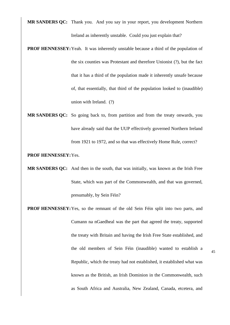**MR SANDERS QC:** Thank you. And you say in your report, you development Northern Ireland as inherently unstable. Could you just explain that?

- **PROF HENNESSEY:** Yeah. It was inherently unstable because a third of the population of the six counties was Protestant and therefore Unionist (?), but the fact that it has a third of the population made it inherently unsafe because of, that essentially, that third of the population looked to (inaudible) union with Ireland. (?)
- **MR SANDERS QC:** So going back to, from partition and from the treaty onwards, you have already said that the UUP effectively governed Northern Ireland from 1921 to 1972, and so that was effectively Home Rule, correct?

## **PROF HENNESSEY:**Yes.

- **MR SANDERS QC:** And then in the south, that was initially, was known as the Irish Free State, which was part of the Commonwealth, and that was governed, presumably, by Sein Féin?
- **PROF HENNESSEY:**Yes, so the remnant of the old Sein Féin split into two parts, and Cumann na nGaedheal was the part that agreed the treaty, supported the treaty with Britain and having the Irish Free State established, and the old members of Sein Féin (inaudible) wanted to establish a Republic, which the treaty had not established, it established what was known as the British, an Irish Dominion in the Commonwealth, such as South Africa and Australia, New Zealand, Canada, etcetera, and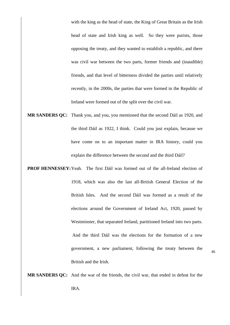with the king as the head of state, the King of Great Britain as the Irish head of state and Irish king as well. So they were purists, those opposing the treaty, and they wanted to establish a republic, and there was civil war between the two parts, former friends and (inaudible) friends, and that level of bitterness divided the parties until relatively recently, in the 2000s, the parties that were formed in the Republic of Ireland were formed out of the split over the civil war.

- **MR SANDERS QC:** Thank you, and you, you mentioned that the second Dáil as 1920, and the third Dáil as 1922, I think. Could you just explain, because we have come on to an important matter in IRA history, could you explain the difference between the second and the third Dáil?
- **PROF HENNESSEY:**Yeah. The first Dáil was formed out of the all-Ireland election of 1918, which was also the last all-British General Election of the British Isles. And the second Dáil was formed as a result of the elections around the Government of Ireland Act, 1920, passed by Westminster, that separated Ireland, partitioned Ireland into two parts. And the third Dáil was the elections for the formation of a new government, a new parliament, following the treaty between the British and the Irish.

46

**MR SANDERS QC:** And the war of the friends, the civil war, that ended in defeat for the IRA.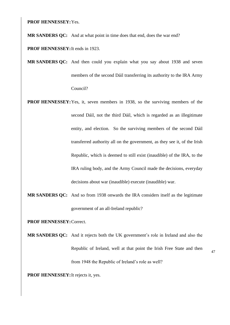**PROF HENNESSEY:**Yes.

**MR SANDERS QC:** And at what point in time does that end, does the war end?

**PROF HENNESSEY:**It ends in 1923.

**MR SANDERS QC:** And then could you explain what you say about 1938 and seven members of the second Dáil transferring its authority to the IRA Army Council?

**PROF HENNESSEY:**Yes, it, seven members in 1938, so the surviving members of the second Dáil, not the third Dáil, which is regarded as an illegitimate entity, and election. So the surviving members of the second Dáil transferred authority all on the government, as they see it, of the Irish Republic, which is deemed to still exist (inaudible) of the IRA, to the IRA ruling body, and the Army Council made the decisions, everyday decisions about war (inaudible) execute (inaudible) war.

**MR SANDERS QC:** And so from 1938 onwards the IRA considers itself as the legitimate government of an all-Ireland republic?

**PROF HENNESSEY:**Correct.

**MR SANDERS QC:** And it rejects both the UK government's role in Ireland and also the Republic of Ireland, well at that point the Irish Free State and then from 1948 the Republic of Ireland's role as well?

47

**PROF HENNESSEY:**It rejects it, yes.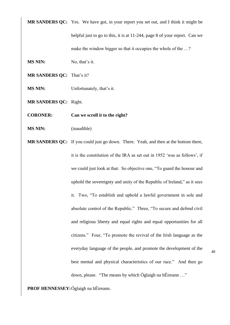**MR SANDERS QC:** Yes. We have got, in your report you set out, and I think it might be

helpful just to go to this, it is at 11-244, page 8 of your report. Can we make the window bigger so that it occupies the whole of the ...?

**MS NIN:** No, that's it.

**MR SANDERS QC:** That's it?

**MS NIN:** Unfortunately, that's it.

**MR SANDERS QC:** Right.

**CORONER: Can we scroll it to the right?**

- **MS NIN:** (inaudible)
- **MR SANDERS QC:** If you could just go down. There. Yeah, and then at the bottom there, it is the constitution of the IRA as set out in 1952 'was as follows', if we could just look at that. So objective one, "To guard the honour and uphold the sovereignty and unity of the Republic of Ireland," as it sees it. Two, "To establish and uphold a lawful government in sole and absolute control of the Republic." Three, "To secure and defend civil and religious liberty and equal rights and equal opportunities for all citizens." Four, "To promote the revival of the Irish language as the everyday language of the people, and promote the development of the best mental and physical characteristics of our race." And then go down, please. "The means by which Óglaigh na hÉireann …"

**PROF HENNESSEY:**Óglaigh na hÉireann.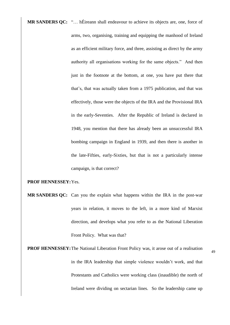**MR SANDERS QC:** "… hÉireann shall endeavour to achieve its objects are, one, force of arms, two, organising, training and equipping the manhood of Ireland as an efficient military force, and three, assisting as direct by the army authority all organisations working for the same objects." And then just in the footnote at the bottom, at one, you have put there that that's, that was actually taken from a 1975 publication, and that was effectively, those were the objects of the IRA and the Provisional IRA in the early-Seventies. After the Republic of Ireland is declared in 1948, you mention that there has already been an unsuccessful IRA bombing campaign in England in 1939, and then there is another in the late-Fifties, early-Sixties, but that is not a particularly intense campaign, is that correct?

# **PROF HENNESSEY:**Yes.

- **MR SANDERS QC:** Can you the explain what happens within the IRA in the post-war years in relation, it moves to the left, in a more kind of Marxist direction, and develops what you refer to as the National Liberation Front Policy. What was that?
- **PROF HENNESSEY:**The National Liberation Front Policy was, it arose out of a realisation in the IRA leadership that simple violence wouldn't work, and that Protestants and Catholics were working class (inaudible) the north of Ireland were dividing on sectarian lines. So the leadership came up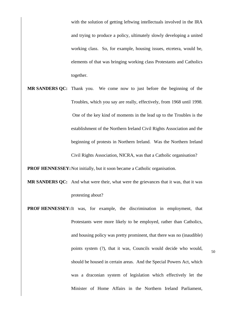with the solution of getting leftwing intellectuals involved in the IRA and trying to produce a policy, ultimately slowly developing a united working class. So, for example, housing issues, etcetera, would be, elements of that was bringing working class Protestants and Catholics together.

**MR SANDERS QC:** Thank you. We come now to just before the beginning of the Troubles, which you say are really, effectively, from 1968 until 1998. One of the key kind of moments in the lead up to the Troubles is the establishment of the Northern Ireland Civil Rights Association and the beginning of protests in Northern Ireland. Was the Northern Ireland Civil Rights Association, NICRA, was that a Catholic organisation?

**PROF HENNESSEY:**Not initially, but it soon became a Catholic organisation.

- **MR SANDERS QC:** And what were their, what were the grievances that it was, that it was protesting about?
- **PROF HENNESSEY:**It was, for example, the discrimination in employment, that Protestants were more likely to be employed, rather than Catholics, and housing policy was pretty prominent, that there was no (inaudible) points system (?), that it was, Councils would decide who would, should be housed in certain areas. And the Special Powers Act, which was a draconian system of legislation which effectively let the Minister of Home Affairs in the Northern Ireland Parliament,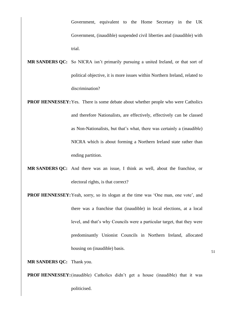Government, equivalent to the Home Secretary in the UK Government, (inaudible) suspended civil liberties and (inaudible) with trial.

- **MR SANDERS QC:** So NICRA isn't primarily pursuing a united Ireland, or that sort of political objective, it is more issues within Northern Ireland, related to discrimination?
- **PROF HENNESSEY:** Yes. There is some debate about whether people who were Catholics and therefore Nationalists, are effectively, effectively can be classed as Non-Nationalists, but that's what, there was certainly a (inaudible) NICRA which is about forming a Northern Ireland state rather than ending partition.
- **MR SANDERS QC:** And there was an issue, I think as well, about the franchise, or electoral rights, is that correct?
- **PROF HENNESSEY:** Yeah, sorry, so its slogan at the time was 'One man, one vote', and there was a franchise that (inaudible) in local elections, at a local level, and that's why Councils were a particular target, that they were predominantly Unionist Councils in Northern Ireland, allocated housing on (inaudible) basis.

**MR SANDERS QC:** Thank you.

**PROF HENNESSEY:**(inaudible) Catholics didn't get a house (inaudible) that it was politicised.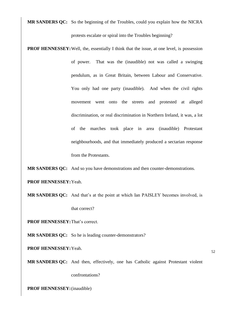**MR SANDERS QC:** So the beginning of the Troubles, could you explain how the NICRA protests escalate or spiral into the Troubles beginning?

**PROF HENNESSEY:** Well, the, essentially I think that the issue, at one level, is possession of power. That was the (inaudible) not was called a swinging pendulum, as in Great Britain, between Labour and Conservative. You only had one party (inaudible). And when the civil rights movement went onto the streets and protested at alleged discrimination, or real discrimination in Northern Ireland, it was, a lot of the marches took place in area (inaudible) Protestant neighbourhoods, and that immediately produced a sectarian response from the Protestants.

**MR SANDERS QC:** And so you have demonstrations and then counter-demonstrations.

**PROF HENNESSEY:**Yeah.

**MR SANDERS QC:** And that's at the point at which Ian PAISLEY becomes involved, is that correct?

**PROF HENNESSEY:**That's correct.

**MR SANDERS QC:** So he is leading counter-demonstrators?

**PROF HENNESSEY:**Yeah.

52

**MR SANDERS QC:** And then, effectively, one has Catholic against Protestant violent

confrontations?

**PROF HENNESSEY:**(inaudible)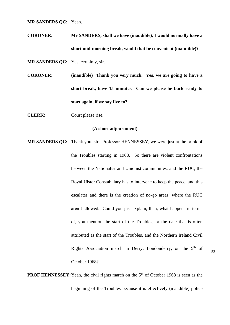**MR SANDERS QC:** Yeah.

**CORONER: Mr SANDERS, shall we have (inaudible), I would normally have a short mid-morning break, would that be convenient (inaudible)?**

MR SANDERS QC: Yes, certainly, sir.

**CORONER: (inaudible) Thank you very much. Yes, we are going to have a short break, have 15 minutes. Can we please be back ready to start again, if we say five to?** 

**CLERK:** Court please rise.

## **(A short adjournment)**

**MR SANDERS QC:** Thank you, sir. Professor HENNESSEY, we were just at the brink of the Troubles starting in 1968. So there are violent confrontations between the Nationalist and Unionist communities, and the RUC, the Royal Ulster Constabulary has to intervene to keep the peace, and this escalates and there is the creation of no-go areas, where the RUC aren't allowed. Could you just explain, then, what happens in terms of, you mention the start of the Troubles, or the date that is often attributed as the start of the Troubles, and the Northern Ireland Civil Rights Association march in Derry, Londonderry, on the 5<sup>th</sup> of October 1968?

53

**PROF HENNESSEY:** Yeah, the civil rights march on the 5<sup>th</sup> of October 1968 is seen as the beginning of the Troubles because it is effectively (inaudible) police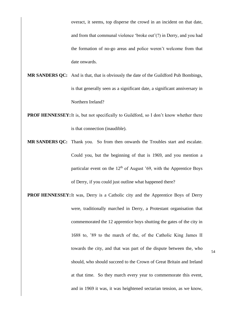overact, it seems, top disperse the crowd in an incident on that date, and from that communal violence 'broke out'(?) in Derry, and you had the formation of no-go areas and police weren't welcome from that date onwards.

- **MR SANDERS QC:** And is that, that is obviously the date of the Guildford Pub Bombings, is that generally seen as a significant date, a significant anniversary in Northern Ireland?
- **PROF HENNESSEY:** It is, but not specifically to Guildford, so I don't know whether there is that connection (inaudible).
- **MR SANDERS QC:** Thank you. So from then onwards the Troubles start and escalate. Could you, but the beginning of that is 1969, and you mention a particular event on the  $12<sup>th</sup>$  of August '69, with the Apprentice Boys of Derry, if you could just outline what happened there?
- **PROF HENNESSEY:**It was, Derry is a Catholic city and the Apprentice Boys of Derry were, traditionally marched in Derry, a Protestant organisation that commemorated the 12 apprentice boys shutting the gates of the city in 1688 to, '89 to the march of the, of the Catholic King James II towards the city, and that was part of the dispute between the, who should, who should succeed to the Crown of Great Britain and Ireland at that time. So they march every year to commemorate this event, and in 1969 it was, it was heightened sectarian tension, as we know,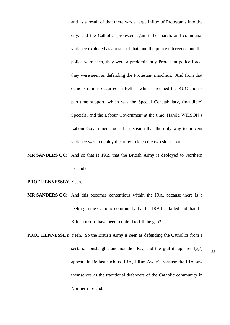and as a result of that there was a large influx of Protestants into the city, and the Catholics protested against the march, and communal violence exploded as a result of that, and the police intervened and the police were seen, they were a predominantly Protestant police force, they were seen as defending the Protestant marchers. And from that demonstrations occurred in Belfast which stretched the RUC and its part-time support, which was the Special Constabulary, (inaudible) Specials, and the Labour Government at the time, Harold WILSON's Labour Government took the decision that the only way to prevent violence was to deploy the army to keep the two sides apart.

**MR SANDERS QC:** And so that is 1969 that the British Army is deployed to Northern Ireland?

**PROF HENNESSEY:**Yeah.

**MR SANDERS QC:** And this becomes contentious within the IRA, because there is a feeling in the Catholic community that the IRA has failed and that the British troops have been required to fill the gap?

**PROF HENNESSEY:** Yeah. So the British Army is seen as defending the Catholics from a sectarian onslaught, and not the IRA, and the graffiti apparently(?) appears in Belfast such as 'IRA, I Run Away', because the IRA saw themselves as the traditional defenders of the Catholic community in Northern Ireland.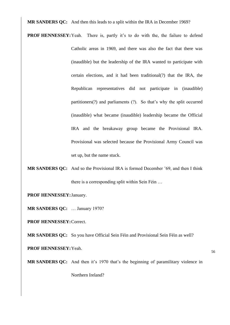**MR SANDERS QC:** And then this leads to a split within the IRA in December 1969?

- **PROF HENNESSEY:**Yeah. There is, partly it's to do with the, the failure to defend Catholic areas in 1969, and there was also the fact that there was (inaudible) but the leadership of the IRA wanted to participate with certain elections, and it had been traditional(?) that the IRA, the Republican representatives did not participate in (inaudible) partitioners(?) and parliaments (?). So that's why the split occurred (inaudible) what became (inaudible) leadership became the Official IRA and the breakaway group became the Provisional IRA. Provisional was selected because the Provisional Army Council was set up, but the name stuck.
- **MR SANDERS QC:** And so the Provisional IRA is formed December '69, and then I think there is a corresponding split within Sein Féin …
- **PROF HENNESSEY:**January.

**MR SANDERS QC:** … January 1970?

**PROF HENNESSEY:**Correct.

**MR SANDERS QC:** So you have Official Sein Féin and Provisional Sein Féin as well?

**PROF HENNESSEY:**Yeah.

56

**MR SANDERS QC:** And then it's 1970 that's the beginning of paramilitary violence in Northern Ireland?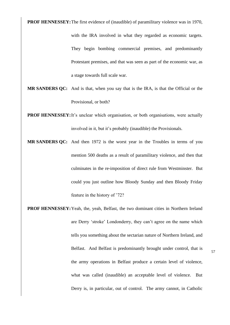**PROF HENNESSEY:** The first evidence of (inaudible) of paramilitary violence was in 1970,

with the IRA involved in what they regarded as economic targets. They begin bombing commercial premises, and predominantly Protestant premises, and that was seen as part of the economic war, as a stage towards full scale war.

- **MR SANDERS QC:** And is that, when you say that is the IRA, is that the Official or the Provisional, or both?
- **PROF HENNESSEY:**It's unclear which organisation, or both organisations, were actually involved in it, but it's probably (inaudible) the Provisionals.
- **MR SANDERS QC:** And then 1972 is the worst year in the Troubles in terms of you mention 500 deaths as a result of paramilitary violence, and then that culminates in the re-imposition of direct rule from Westminster. But could you just outline how Bloody Sunday and then Bloody Friday feature in the history of '72?
- **PROF HENNESSEY:**Yeah, the, yeah, Belfast, the two dominant cities in Northern Ireland are Derry 'stroke' Londonderry, they can't agree on the name which tells you something about the sectarian nature of Northern Ireland, and Belfast. And Belfast is predominantly brought under control, that is the army operations in Belfast produce a certain level of violence, what was called (inaudible) an acceptable level of violence. But Derry is, in particular, out of control. The army cannot, in Catholic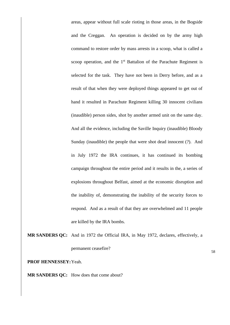areas, appear without full scale rioting in those areas, in the Bogside and the Creggan. An operation is decided on by the army high command to restore order by mass arrests in a scoop, what is called a scoop operation, and the  $1<sup>st</sup>$  Battalion of the Parachute Regiment is selected for the task. They have not been in Derry before, and as a result of that when they were deployed things appeared to get out of hand it resulted in Parachute Regiment killing 30 innocent civilians (inaudible) person sides, shot by another armed unit on the same day. And all the evidence, including the Saville Inquiry (inaudible) Bloody Sunday (inaudible) the people that were shot dead innocent (?). And in July 1972 the IRA continues, it has continued its bombing campaign throughout the entire period and it results in the, a series of explosions throughout Belfast, aimed at the economic disruption and the inability of, demonstrating the inability of the security forces to respond. And as a result of that they are overwhelmed and 11 people are killed by the IRA bombs.

**MR SANDERS QC:** And in 1972 the Official IRA, in May 1972, declares, effectively, a permanent ceasefire?

**PROF HENNESSEY:**Yeah.

**MR SANDERS QC:** How does that come about?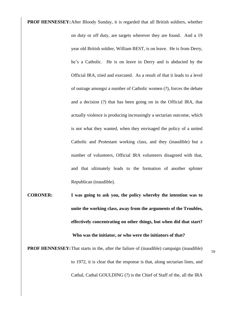**PROF HENNESSEY:**After Bloody Sunday, it is regarded that all British soldiers, whether on duty or off duty, are targets wherever they are found. And a 19 year old British soldier, William BEST, is on leave. He is from Derry, he's a Catholic. He is on leave in Derry and is abducted by the Official IRA, tried and executed. As a result of that it leads to a level of outrage amongst a number of Catholic women (?), forces the debate and a decision (?) that has been going on in the Official IRA, that actually violence is producing increasingly a sectarian outcome, which is not what they wanted, when they envisaged the policy of a united Catholic and Protestant working class, and they (inaudible) but a number of volunteers, Official IRA volunteers disagreed with that, and that ultimately leads to the formation of another splinter Republican (inaudible).

**CORONER: I was going to ask you, the policy whereby the intention was to unite the working class, away from the arguments of the Troubles, effectively concentrating on other things, but when did that start? Who was the initiator, or who were the initiators of that?**

**PROF HENNESSEY:**That starts in the, after the failure of (inaudible) campaign (inaudible) to 1972, it is clear that the response is that, along sectarian lines, and Cathal, Cathal GOULDING (?) is the Chief of Staff of the, all the IRA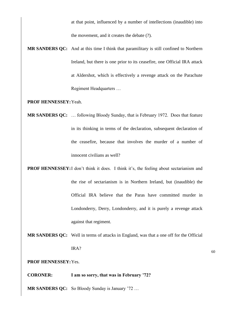at that point, influenced by a number of intellections (inaudible) into the movement, and it creates the debate (?).

**MR SANDERS QC:** And at this time I think that paramilitary is still confined to Northern Ireland, but there is one prior to its ceasefire, one Official IRA attack at Aldershot, which is effectively a revenge attack on the Parachute Regiment Headquarters …

**PROF HENNESSEY:**Yeah.

- **MR SANDERS QC:** … following Bloody Sunday, that is February 1972. Does that feature in its thinking in terms of the declaration, subsequent declaration of the ceasefire, because that involves the murder of a number of innocent civilians as well?
- **PROF HENNESSEY:**I don't think it does. I think it's, the feeling about sectarianism and the rise of sectarianism is in Northern Ireland, but (inaudible) the Official IRA believe that the Paras have committed murder in Londonderry, Derry, Londonderry, and it is purely a revenge attack against that regiment.
- **MR SANDERS QC:** Well in terms of attacks in England, was that a one off for the Official IRA?

**PROF HENNESSEY:**Yes.

**CORONER: I am so sorry, that was in February '72?**

**MR SANDERS QC:** So Bloody Sunday is January '72 …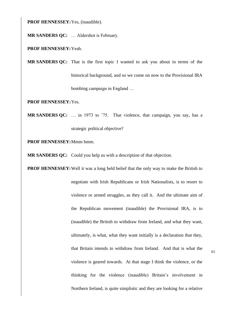**PROF HENNESSEY:**Yes, (inaudible).

**MR SANDERS QC:** … Aldershot is February.

**PROF HENNESSEY:**Yeah.

**MR SANDERS QC:** That is the first topic I wanted to ask you about in terms of the historical background, and so we come on now to the Provisional IRA bombing campaign in England …

**PROF HENNESSEY:**Yes.

**MR SANDERS QC:** … in 1973 to '75. That violence, that campaign, you say, has a strategic political objective?

**PROF HENNESSEY:**Mmm hmm.

**MR SANDERS QC:** Could you help us with a description of that objection.

**PROF HENNESSEY:**Well it was a long held belief that the only way to make the British to negotiate with Irish Republicans or Irish Nationalists, is to resort to violence or armed struggles, as they call it. And the ultimate aim of the Republican movement (inaudible) the Provisional IRA, is to (inaudible) the British to withdraw from Ireland, and what they want, ultimately, is what, what they want initially is a declaration that they, that Britain intends to withdraw from Ireland. And that is what the violence is geared towards. At that stage I think the violence, or the thinking for the violence (inaudible) Britain's involvement in Northern Ireland, is quite simplistic and they are looking for a relative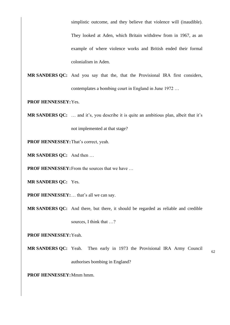simplistic outcome, and they believe that violence will (inaudible).

They looked at Aden, which Britain withdrew from in 1967, as an example of where violence works and British ended their formal colonialism in Aden.

**MR SANDERS QC:** And you say that the, that the Provisional IRA first considers, contemplates a bombing court in England in June 1972 …

**PROF HENNESSEY:**Yes.

**MR SANDERS QC:** … and it's, you describe it is quite an ambitious plan, albeit that it's not implemented at that stage?

**PROF HENNESSEY:**That's correct, yeah.

**MR SANDERS QC:** And then …

**PROF HENNESSEY:** From the sources that we have ...

**MR SANDERS QC:** Yes.

**PROF HENNESSEY:**… that's all we can say.

**MR SANDERS QC:** And there, but there, it should be regarded as reliable and credible sources, I think that …?

**PROF HENNESSEY:**Yeah.

**MR SANDERS QC:** Yeah. Then early in 1973 the Provisional IRA Army Council authorises bombing in England?

**PROF HENNESSEY:**Mmm hmm.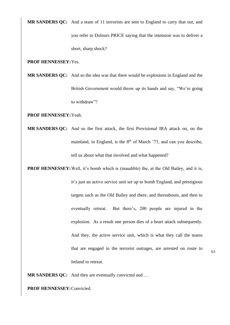**MR SANDERS QC:** And a team of 11 terrorists are sent to England to carry that out, and you refer to Dolours PRICE saying that the intension was to deliver a short, sharp shock?

**PROF HENNESSEY:**Yes.

**MR SANDERS QC:** And so the idea was that there would be explosions in England and the British Government would throw up its hands and say, "We're going to withdraw"?

**PROF HENNESSEY:**Yeah.

**MR SANDERS QC:** And so the first attack, the first Provisional IRA attack on, on the mainland, in England, is the  $8<sup>th</sup>$  of March '73, and can you describe, tell us about what that involved and what happened?

**PROF HENNESSEY:** Well, it's bomb which is (inaudible) the, at the Old Bailey, and it is, it's just an active service unit set up to bomb England, and prestigious targets such as the Old Bailey and there, and thereabouts, and then to eventually retreat. But there's, 200 people are injured in the explosion. As a result one person dies of a heart attack subsequently. And they, the active service unit, which is what they call the teams that are engaged in the terrorist outrages, are arrested on route to Ireland to retreat.

63

**MR SANDERS QC:** And they are eventually convicted and …

**PROF HENNESSEY:**Convicted.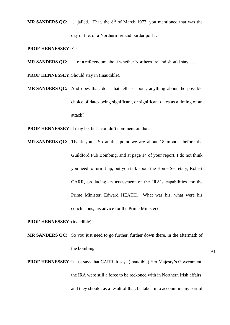**MR SANDERS QC:** ... jailed. That, the 8<sup>th</sup> of March 1973, you mentioned that was the

day of the, of a Northern Ireland border poll …

**PROF HENNESSEY:**Yes.

**MR SANDERS OC:** ... of a referendum about whether Northern Ireland should stay ...

**PROF HENNESSEY:**Should stay in (inaudible).

**MR SANDERS QC:** And does that, does that tell us about, anything about the possible choice of dates being significant, or significant dates as a timing of an attack?

**PROF HENNESSEY:**It may be, but I couldn't comment on that.

**MR SANDERS QC:** Thank you. So at this point we are about 18 months before the Guildford Pub Bombing, and at page 14 of your report, I do not think you need to turn it up, but you talk about the Home Secretary, Robert CARR, producing an assessment of the IRA's capabilities for the Prime Minister, Edward HEATH. What was his, what were his conclusions, his advice for the Prime Minister?

**PROF HENNESSEY:**(inaudible)

**MR SANDERS QC:** So you just need to go further, further down there, in the aftermath of the bombing.

**PROF HENNESSEY:**It just says that CARR, it says (inaudible) Her Majesty's Government, the IRA were still a force to be reckoned with in Northern Irish affairs, and they should, as a result of that, be taken into account in any sort of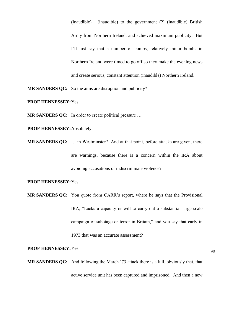(inaudible). (inaudible) to the government (?) (inaudible) British Army from Northern Ireland, and achieved maximum publicity. But I'll just say that a number of bombs, relatively minor bombs in Northern Ireland were timed to go off so they make the evening news and create serious, constant attention (inaudible) Northern Ireland.

**MR SANDERS QC:** So the aims are disruption and publicity?

**PROF HENNESSEY:**Yes.

**MR SANDERS QC:** In order to create political pressure ...

**PROF HENNESSEY:**Absolutely.

**MR SANDERS QC:** … in Westminster? And at that point, before attacks are given, there are warnings, because there is a concern within the IRA about avoiding accusations of indiscriminate violence?

**PROF HENNESSEY:**Yes.

**MR SANDERS QC:** You quote from CARR's report, where he says that the Provisional IRA, "Lacks a capacity or will to carry out a substantial large scale campaign of sabotage or terror in Britain," and you say that early in 1973 that was an accurate assessment?

**PROF HENNESSEY:**Yes.

**MR SANDERS QC:** And following the March '73 attack there is a lull, obviously that, that active service unit has been captured and imprisoned. And then a new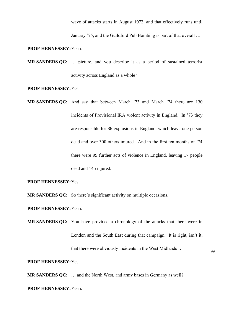wave of attacks starts in August 1973, and that effectively runs until

January '75, and the Guildford Pub Bombing is part of that overall …

## **PROF HENNESSEY:**Yeah.

**MR SANDERS QC:** … picture, and you describe it as a period of sustained terrorist activity across England as a whole?

**PROF HENNESSEY:**Yes.

**MR SANDERS QC:** And say that between March '73 and March '74 there are 130 incidents of Provisional IRA violent activity in England. In '73 they are responsible for 86 explosions in England, which leave one person dead and over 300 others injured. And in the first ten months of '74 there were 99 further acts of violence in England, leaving 17 people dead and 145 injured.

**PROF HENNESSEY:**Yes.

**MR SANDERS QC:** So there's significant activity on multiple occasions.

**PROF HENNESSEY:**Yeah.

**MR SANDERS QC:** You have provided a chronology of the attacks that there were in London and the South East during that campaign. It is right, isn't it, that there were obviously incidents in the West Midlands …

**PROF HENNESSEY:**Yes.

**MR SANDERS QC:** … and the North West, and army bases in Germany as well?

**PROF HENNESSEY:**Yeah.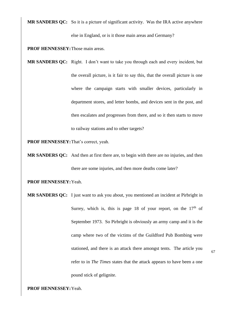**MR SANDERS QC:** So it is a picture of significant activity. Was the IRA active anywhere else in England, or is it those main areas and Germany?

**PROF HENNESSEY:**Those main areas.

**MR SANDERS QC:** Right. I don't want to take you through each and every incident, but the overall picture, is it fair to say this, that the overall picture is one where the campaign starts with smaller devices, particularly in department stores, and letter bombs, and devices sent in the post, and then escalates and progresses from there, and so it then starts to move to railway stations and to other targets?

**PROF HENNESSEY:**That's correct, yeah.

**MR SANDERS QC:** And then at first there are, to begin with there are no injuries, and then there are some injuries, and then more deaths come later?

**PROF HENNESSEY:**Yeah.

**MR SANDERS QC:** I just want to ask you about, you mentioned an incident at Pirbright in Surrey, which is, this is page 18 of your report, on the  $17<sup>th</sup>$  of September 1973. So Pirbright is obviously an army camp and it is the camp where two of the victims of the Guildford Pub Bombing were stationed, and there is an attack there amongst tents. The article you refer to in *The Times* states that the attack appears to have been a one pound stick of gelignite.

**PROF HENNESSEY:**Yeah.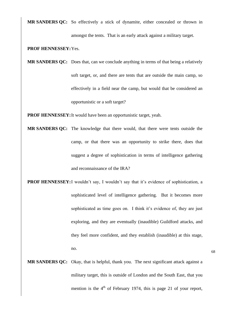**MR SANDERS QC:** So effectively a stick of dynamite, either concealed or thrown in amongst the tents. That is an early attack against a military target.

**PROF HENNESSEY:**Yes.

**MR SANDERS QC:** Does that, can we conclude anything in terms of that being a relatively soft target, or, and there are tents that are outside the main camp, so effectively in a field near the camp, but would that be considered an opportunistic or a soft target?

**PROF HENNESSEY:**It would have been an opportunistic target, yeah.

- **MR SANDERS QC:** The knowledge that there would, that there were tents outside the camp, or that there was an opportunity to strike there, does that suggest a degree of sophistication in terms of intelligence gathering and reconnaissance of the IRA?
- **PROF HENNESSEY:**I wouldn't say, I wouldn't say that it's evidence of sophistication, a sophisticated level of intelligence gathering. But it becomes more sophisticated as time goes on. I think it's evidence of, they are just exploring, and they are eventually (inaudible) Guildford attacks, and they feel more confident, and they establish (inaudible) at this stage, no.
- 68
- **MR SANDERS QC:** Okay, that is helpful, thank you. The next significant attack against a military target, this is outside of London and the South East, that you mention is the  $4<sup>th</sup>$  of February 1974, this is page 21 of your report,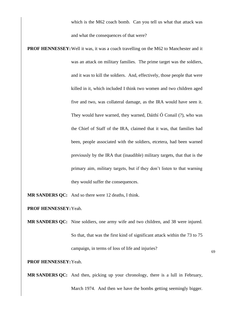which is the M62 coach bomb. Can you tell us what that attack was and what the consequences of that were?

**PROF HENNESSEY:** Well it was, it was a coach travelling on the M62 to Manchester and it was an attack on military families. The prime target was the soldiers, and it was to kill the soldiers. And, effectively, those people that were killed in it, which included I think two women and two children aged five and two, was collateral damage, as the IRA would have seen it. They would have warned, they warned, [Dáithí Ó Conail](https://en.wikipedia.org/wiki/D%C3%A1ith%C3%AD_%C3%93_Conaill) (?), who was the Chief of Staff of the IRA, claimed that it was, that families had been, people associated with the soldiers, etcetera, had been warned previously by the IRA that (inaudible) military targets, that that is the primary aim, military targets, but if they don't listen to that warning they would suffer the consequences.

**MR SANDERS QC:** And so there were 12 deaths, I think.

**PROF HENNESSEY:**Yeah.

**MR SANDERS QC:** Nine soldiers, one army wife and two children, and 38 were injured. So that, that was the first kind of significant attack within the 73 to 75 campaign, in terms of loss of life and injuries?

**PROF HENNESSEY:**Yeah.

**MR SANDERS QC:** And then, picking up your chronology, there is a lull in February,

March 1974. And then we have the bombs getting seemingly bigger.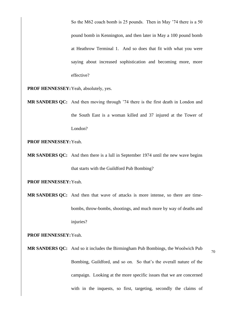So the M62 coach bomb is 25 pounds. Then in May '74 there is a 50 pound bomb in Kennington, and then later in May a 100 pound bomb at Heathrow Terminal 1. And so does that fit with what you were saying about increased sophistication and becoming more, more effective?

**PROF HENNESSEY:**Yeah, absolutely, yes.

**MR SANDERS QC:** And then moving through '74 there is the first death in London and the South East is a woman killed and 37 injured at the Tower of London?

**PROF HENNESSEY:**Yeah.

**MR SANDERS QC:** And then there is a lull in September 1974 until the new wave begins that starts with the Guildford Pub Bombing?

**PROF HENNESSEY:**Yeah.

**MR SANDERS QC:** And then that wave of attacks is more intense, so there are timebombs, throw-bombs, shootings, and much more by way of deaths and injuries?

**PROF HENNESSEY:**Yeah.

**MR SANDERS QC:** And so it includes the Birmingham Pub Bombings, the Woolwich Pub Bombing, Guildford, and so on. So that's the overall nature of the campaign. Looking at the more specific issues that we are concerned with in the inquests, so first, targeting, secondly the claims of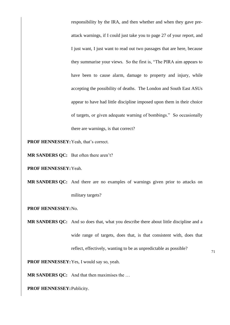responsibility by the IRA, and then whether and when they gave preattack warnings, if I could just take you to page 27 of your report, and I just want, I just want to read out two passages that are here, because they summarise your views. So the first is, "The PIRA aim appears to have been to cause alarm, damage to property and injury, while accepting the possibility of deaths. The London and South East ASUs appear to have had little discipline imposed upon them in their choice of targets, or given adequate warning of bombings." So occasionally there are warnings, is that correct?

**PROF HENNESSEY:**Yeah, that's correct.

**MR SANDERS QC:** But often there aren't?

**PROF HENNESSEY:**Yeah.

**MR SANDERS QC:** And there are no examples of warnings given prior to attacks on military targets?

**PROF HENNESSEY:**No.

**MR SANDERS QC:** And so does that, what you describe there about little discipline and a wide range of targets, does that, is that consistent with, does that reflect, effectively, wanting to be as unpredictable as possible?

**PROF HENNESSEY:**Yes, I would say so, yeah.

**MR SANDERS QC:** And that then maximises the …

**PROF HENNESSEY:**Publicity.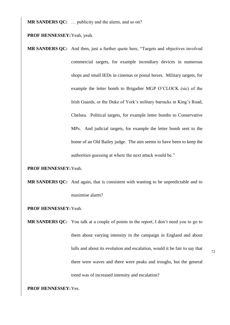**MR SANDERS QC:** … publicity and the alarm, and so on?

**PROF HENNESSEY:**Yeah, yeah.

**MR SANDERS QC:** And then, just a further quote here, "Targets and objectives involved commercial targets, for example incendiary devices in numerous shops and small IEDs in cinemas or postal boxes. Military targets, for example the letter bomb to Brigadier MGP O'CLOCK (sic) of the Irish Guards, or the Duke of York's military barracks in King's Road, Chelsea. Political targets, for example letter bombs to Conservative MPs. And judicial targets, for example the letter bomb sent to the home of an Old Bailey judge. The aim seems to have been to keep the authorities guessing at where the next attack would be."

**PROF HENNESSEY:**Yeah.

- **MR SANDERS QC:** And again, that is consistent with wanting to be unpredictable and to maximise alarm?
- **PROF HENNESSEY:**Yeah.
- **MR SANDERS QC:** You talk at a couple of points in the report, I don't need you to go to them about varying intensity in the campaign in England and about lulls and about its evolution and escalation, would it be fair to say that there were waves and there were peaks and troughs, but the general trend was of increased intensity and escalation?

**PROF HENNESSEY:**Yes.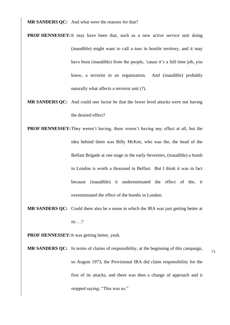**MR SANDERS QC:** And what were the reasons for that?

- **PROF HENNESSEY:**It may have been that, such as a new active service unit doing (inaudible) might want to call a tour in hostile territory, and it may have been (inaudible) from the people, 'cause it's a full time job, you know, a terrorist in an organisation. And (inaudible) probably naturally what affects a terrorist unit (?).
- **MR SANDERS QC:** And could one factor be that the lower level attacks were not having the desired effect?
- **PROF HENNESSEY:**They weren't having, there weren't having any effect at all, but the idea behind them was Billy McKee, who was the, the head of the Belfast Brigade at one stage in the early-Seventies, (inaudible) a bomb in London is worth a thousand in Belfast. But I think it was in fact because (inaudible) it underestimated the effect of the, it overestimated the effect of the bombs in London.
- **MR SANDERS QC:** Could there also be a sense in which the IRA was just getting better at its …?

**PROF HENNESSEY:**It was getting better, yeah.

**MR SANDERS QC:** In terms of claims of responsibility, at the beginning of this campaign, so August 1973, the Provisional IRA did claim responsibility for the first of its attacks, and there was then a change of approach and it stopped saying, "This was us."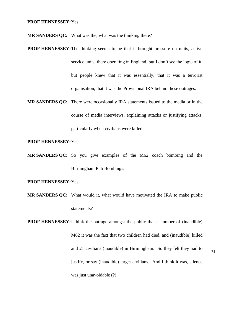**PROF HENNESSEY:**Yes.

**MR SANDERS QC:** What was the, what was the thinking there?

- **PROF HENNESSEY:** The thinking seems to be that it brought pressure on units, active service units, there operating in England, but I don't see the logic of it, but people knew that it was essentially, that it was a terrorist organisation, that it was the Provisional IRA behind these outrages.
- **MR SANDERS QC:** There were occasionally IRA statements issued to the media or in the course of media interviews, explaining attacks or justifying attacks, particularly when civilians were killed.

**PROF HENNESSEY:**Yes.

**MR SANDERS QC:** So you give examples of the M62 coach bombing and the Birmingham Pub Bombings.

**PROF HENNESSEY:**Yes.

**MR SANDERS QC:** What would it, what would have motivated the IRA to make public statements?

**PROF HENNESSEY:**I think the outrage amongst the public that a number of (inaudible) M62 it was the fact that two children had died, and (inaudible) killed and 21 civilians (inaudible) in Birmingham. So they felt they had to justify, or say (inaudible) target civilians. And I think it was, silence was just unavoidable (?).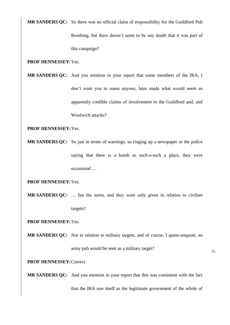**MR SANDERS QC:** So there was no official claim of responsibility for the Guildford Pub Bombing, but there doesn't seem to be any doubt that it was part of

this campaign?

## **PROF HENNESSEY:**Yes.

**MR SANDERS QC:** And you mention in your report that some members of the IRA, I don't want you to name anyone, later made what would seem as apparently credible claims of involvement in the Guildford and, and Woolwich attacks?

## **PROF HENNESSEY:**Yes.

**MR SANDERS OC:** So just in terms of warnings, so ringing up a newspaper or the police saying that there is a bomb as such-a-such a place, they were occasional …

**PROF HENNESSEY:**Yes.

**MR SANDERS QC:** … but the norm, and they were only given in relation to civilian targets?

**PROF HENNESSEY:**Yes.

**MR SANDERS QC:** Not in relation to military targets, and of course, I quote-unquote, an

army pub would be seen as a military target?

75

**PROF HENNESSEY:**Correct.

**MR SANDERS QC:** And you mention in your report that this was consistent with the fact that the IRA saw itself as the legitimate government of the whole of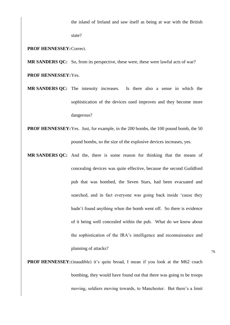the island of Ireland and saw itself as being at war with the British

state?

## **PROF HENNESSEY:**Correct.

**MR SANDERS QC:** So, from its perspective, these were, these were lawful acts of war? **PROF HENNESSEY:**Yes.

- **MR SANDERS QC:** The intensity increases. Is there also a sense in which the sophistication of the devices used improves and they become more dangerous?
- **PROF HENNESSEY:**Yes. Just, for example, in the 200 bombs, the 100 pound bomb, the 50 pound bombs, so the size of the explosive devices increases, yes.
- **MR SANDERS QC:** And the, there is some reason for thinking that the means of concealing devices was quite effective, because the second Guildford pub that was bombed, the Seven Stars, had been evacuated and searched, and in fact everyone was going back inside 'cause they hadn't found anything when the bomb went off. So there is evidence of it being well concealed within the pub. What do we know about the sophistication of the IRA's intelligence and reconnaissance and planning of attacks?
- **PROF HENNESSEY:**(inaudible) it's quite broad, I mean if you look at the M62 coach bombing, they would have found out that there was going to be troops moving, soldiers moving towards, to Manchester. But there's a limit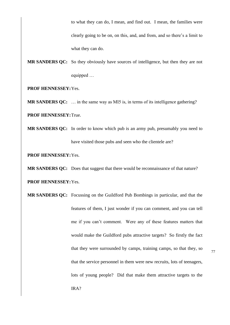to what they can do, I mean, and find out. I mean, the families were clearly going to be on, on this, and, and from, and so there's a limit to what they can do.

**MR SANDERS OC:** So they obviously have sources of intelligence, but then they are not equipped …

**PROF HENNESSEY:**Yes.

**MR SANDERS QC:** … in the same way as MI5 is, in terms of its intelligence gathering?

**PROF HENNESSEY:**True.

**MR SANDERS QC:** In order to know which pub is an army pub, presumably you need to have visited those pubs and seen who the clientele are?

**PROF HENNESSEY:**Yes.

**MR SANDERS QC:** Does that suggest that there would be reconnaissance of that nature?

**PROF HENNESSEY:**Yes.

**MR SANDERS QC:** Focussing on the Guildford Pub Bombings in particular, and that the features of them, I just wonder if you can comment, and you can tell me if you can't comment. Were any of these features matters that would make the Guildford pubs attractive targets? So firstly the fact that they were surrounded by camps, training camps, so that they, so that the service personnel in them were new recruits, lots of teenagers, lots of young people? Did that make them attractive targets to the IRA?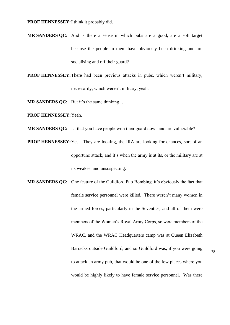**PROF HENNESSEY:**I think it probably did.

**MR SANDERS QC:** And is there a sense in which pubs are a good, are a soft target because the people in them have obviously been drinking and are socialising and off their guard?

**PROF HENNESSEY:**There had been previous attacks in pubs, which weren't military,

necessarily, which weren't military, yeah.

**MR SANDERS QC:** But it's the same thinking …

**PROF HENNESSEY:**Yeah.

**MR SANDERS QC:** ... that you have people with their guard down and are vulnerable?

**PROF HENNESSEY:** Yes. They are looking, the IRA are looking for chances, sort of an opportune attack, and it's when the army is at its, or the military are at its weakest and unsuspecting.

**MR SANDERS QC:** One feature of the Guildford Pub Bombing, it's obviously the fact that female service personnel were killed. There weren't many women in the armed forces, particularly in the Seventies, and all of them were members of the Women's Royal Army Corps, so were members of the WRAC, and the WRAC Headquarters camp was at Queen Elizabeth Barracks outside Guildford, and so Guildford was, if you were going to attack an army pub, that would be one of the few places where you would be highly likely to have female service personnel. Was there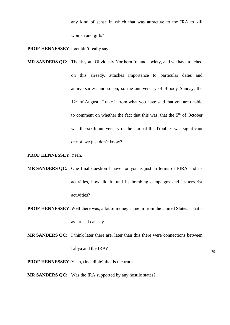any kind of sense in which that was attractive to the IRA to kill women and girls?

**PROF HENNESSEY:**I couldn't really say.

**MR SANDERS QC:** Thank you. Obviously Northern Ireland society, and we have touched on this already, attaches importance to particular dates and anniversaries, and so on, so the anniversary of Bloody Sunday, the  $12<sup>th</sup>$  of August. I take it from what you have said that you are unable to comment on whether the fact that this was, that the  $5<sup>th</sup>$  of October was the sixth anniversary of the start of the Troubles was significant or not, we just don't know?

## **PROF HENNESSEY:**Yeah.

**MR SANDERS QC:** One final question I have for you is just in terms of PIRA and its activities, how did it fund its bombing campaigns and its terrorist activities?

**PROF HENNESSEY:**Well there was, a lot of money came in from the United States. That's as far as I can say.

**MR SANDERS QC:** I think later there are, later than this there were connections between

Libya and the IRA?

79

**PROF HENNESSEY:**Yeah, (inaudible) that is the truth.

**MR SANDERS QC:** Was the IRA supported by any hostile states?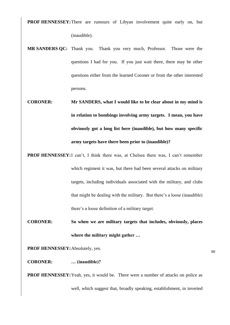**PROF HENNESSEY:** There are rumours of Libyan involvement quite early on, but (inaudible).

- **MR SANDERS QC:** Thank you. Thank you very much, Professor. Those were the questions I had for you. If you just wait there, there may be other questions either from the learned Coroner or from the other interested persons.
- **CORONER: Mr SANDERS, what I would like to be clear about in my mind is in relation to bombings involving army targets. I mean, you have obviously got a long list here (inaudible), but how many specific army targets have there been prior to (inaudible)?**
- **PROF HENNESSEY:**I can't, I think there was, at Chelsea there was, I can't remember which regiment it was, but there had been several attacks on military targets, including individuals associated with the military, and clubs that might be dealing with the military. But there's a loose (inaudible) there's a loose definition of a military target.
- **CORONER: So when we are military targets that includes, obviously, places where the military might gather …**

**PROF HENNESSEY:**Absolutely, yes.

**CORONER: … (inaudible)?**

**PROF HENNESSEY:**Yeah, yes, it would be. There were a number of attacks on police as well, which suggest that, broadly speaking, establishment, in inverted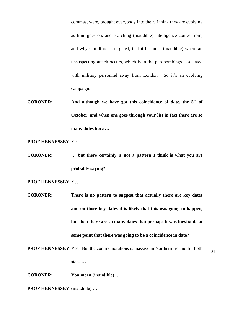commas, were, brought everybody into their, I think they are evolving as time goes on, and searching (inaudible) intelligence comes from, and why Guildford is targeted, that it becomes (inaudible) where an unsuspecting attack occurs, which is in the pub bombings associated with military personnel away from London. So it's an evolving campaign.

**CORONER: And although we have got this coincidence of date, the 5th of October, and when one goes through your list in fact there are so many dates here …** 

**PROF HENNESSEY:**Yes.

**CORONER: … but there certainly is not a pattern I think is what you are probably saying?** 

**PROF HENNESSEY:**Yes.

**CORONER: There is no pattern to suggest that actually there are key dates and on those key dates it is likely that this was going to happen, but then there are so many dates that perhaps it was inevitable at some point that there was going to be a coincidence in date?**

**PROF HENNESSEY:**Yes. But the commemorations is massive in Northern Ireland for both

sides so …

**CORONER: You mean (inaudible) …**

**PROF HENNESSEY:**(inaudible) …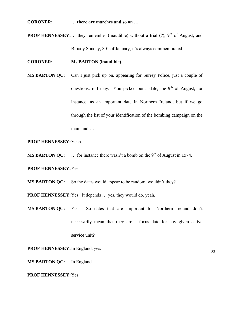**CORONER: … there are marches and so on …**

**PROF HENNESSEY:**... they remember (inaudible) without a trial  $(?)$ ,  $9<sup>th</sup>$  of August, and Bloody Sunday, 30<sup>th</sup> of January, it's always commemorated.

**CORONER: Ms BARTON (inaudible).** 

**MS BARTON QC:** Can I just pick up on, appearing for Surrey Police, just a couple of questions, if I may. You picked out a date, the  $9<sup>th</sup>$  of August, for instance, as an important date in Northern Ireland, but if we go through the list of your identification of the bombing campaign on the mainland …

**PROF HENNESSEY:**Yeah.

**MS BARTON QC:** ... for instance there wasn't a bomb on the 9<sup>th</sup> of August in 1974.

**PROF HENNESSEY:**Yes.

**MS BARTON QC:** So the dates would appear to be random, wouldn't they?

**PROF HENNESSEY:**Yes. It depends … yes, they would do, yeah.

**MS BARTON QC:** Yes. So dates that are important for Northern Ireland don't necessarily mean that they are a focus date for any given active service unit?

**PROF HENNESSEY:**In England, yes.

**MS BARTON QC:** In England.

**PROF HENNESSEY:**Yes.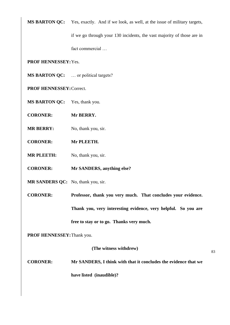**MS BARTON QC:** Yes, exactly. And if we look, as well, at the issue of military targets,

if we go through your 130 incidents, the vast majority of those are in fact commercial …

**PROF HENNESSEY:**Yes.

**MS BARTON QC:** … or political targets?

**PROF HENNESSEY:**Correct.

**MS BARTON QC:** Yes, thank you.

**CORONER: Mr BERRY.**

**MR BERRY:** No, thank you, sir.

**CORONER: Mr PLEETH.**

**MR PLEETH:** No, thank you, sir.

**CORONER: Mr SANDERS, anything else?**

**MR SANDERS QC:** No, thank you, sir.

**CORONER: Professor, thank you very much. That concludes your evidence. Thank you, very interesting evidence, very helpful. So you are free to stay or to go. Thanks very much.**

**PROF HENNESSEY:**Thank you.

**(The witness withdrew)**

83

**CORONER: Mr SANDERS, I think with that it concludes the evidence that we have listed (inaudible)?**